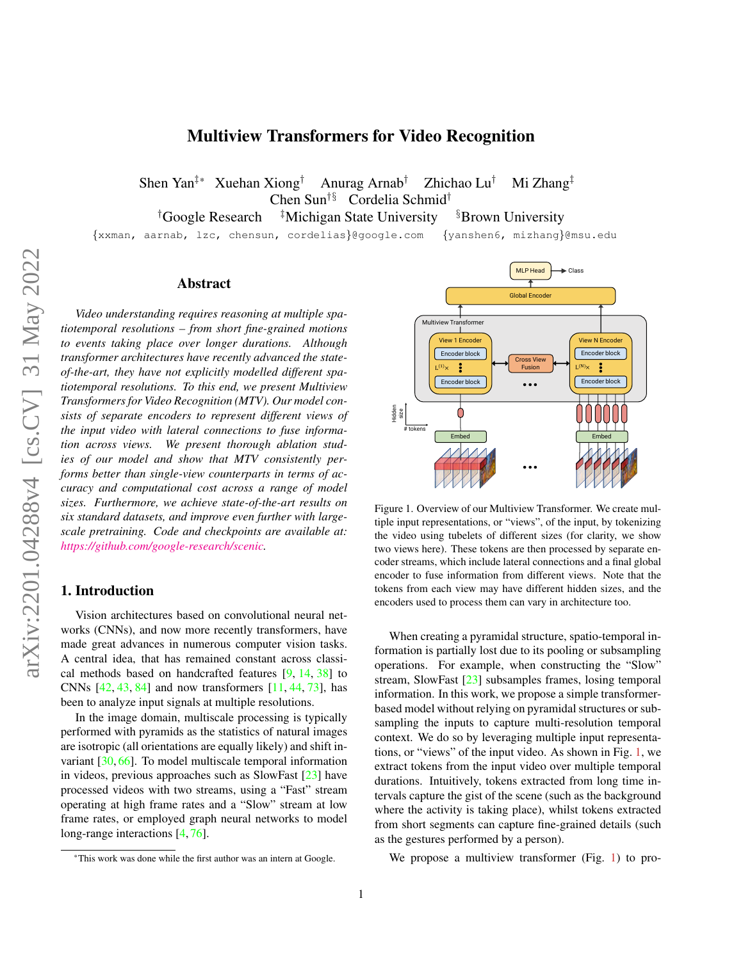# Multiview Transformers for Video Recognition

<span id="page-0-1"></span>Shen Yan<sup>‡\*</sup> Xuehan Xiong<sup>†</sup> Anurag Arnab<sup>†</sup> Zhichao Lu<sup>†</sup> Mi Zhang<sup>‡</sup> Chen Sun†§ Cordelia Schmid†

<sup>†</sup>Google Research <sup>‡</sup>Michigan State University <sup>§</sup>Brown University

{xxman, aarnab, lzc, chensun, cordelias}@google.com {yanshen6, mizhang}@msu.edu

## Abstract

*Video understanding requires reasoning at multiple spatiotemporal resolutions – from short fine-grained motions to events taking place over longer durations. Although transformer architectures have recently advanced the stateof-the-art, they have not explicitly modelled different spatiotemporal resolutions. To this end, we present Multiview Transformers for Video Recognition (MTV). Our model consists of separate encoders to represent different views of the input video with lateral connections to fuse information across views. We present thorough ablation studies of our model and show that MTV consistently performs better than single-view counterparts in terms of accuracy and computational cost across a range of model sizes. Furthermore, we achieve state-of-the-art results on six standard datasets, and improve even further with largescale pretraining. Code and checkpoints are available at: [https://github.com/google-research/scenic.](https://github.com/google-research/scenic/tree/main/scenic/projects/mtv)*

# 1. Introduction

Vision architectures based on convolutional neural networks (CNNs), and now more recently transformers, have made great advances in numerous computer vision tasks. A central idea, that has remained constant across classical methods based on handcrafted features [\[9,](#page-8-0) [14,](#page-9-0) [38\]](#page-9-1) to CNNs [\[42,](#page-9-2) [43,](#page-9-3) [84\]](#page-11-0) and now transformers [\[11,](#page-8-1) [44,](#page-9-4) [73\]](#page-10-0), has been to analyze input signals at multiple resolutions.

In the image domain, multiscale processing is typically performed with pyramids as the statistics of natural images are isotropic (all orientations are equally likely) and shift invariant [\[30,](#page-9-5) [66\]](#page-10-1). To model multiscale temporal information in videos, previous approaches such as SlowFast [\[23\]](#page-9-6) have processed videos with two streams, using a "Fast" stream operating at high frame rates and a "Slow" stream at low frame rates, or employed graph neural networks to model long-range interactions [\[4,](#page-8-2)[76\]](#page-10-2).

<span id="page-0-0"></span>

Figure 1. Overview of our Multiview Transformer. We create multiple input representations, or "views", of the input, by tokenizing the video using tubelets of different sizes (for clarity, we show two views here). These tokens are then processed by separate encoder streams, which include lateral connections and a final global encoder to fuse information from different views. Note that the tokens from each view may have different hidden sizes, and the encoders used to process them can vary in architecture too.

When creating a pyramidal structure, spatio-temporal information is partially lost due to its pooling or subsampling operations. For example, when constructing the "Slow" stream, SlowFast [\[23\]](#page-9-6) subsamples frames, losing temporal information. In this work, we propose a simple transformerbased model without relying on pyramidal structures or subsampling the inputs to capture multi-resolution temporal context. We do so by leveraging multiple input representations, or "views" of the input video. As shown in Fig. [1,](#page-0-0) we extract tokens from the input video over multiple temporal durations. Intuitively, tokens extracted from long time intervals capture the gist of the scene (such as the background where the activity is taking place), whilst tokens extracted from short segments can capture fine-grained details (such as the gestures performed by a person).

We propose a multiview transformer (Fig. [1\)](#page-0-0) to pro-

<sup>\*</sup>This work was done while the first author was an intern at Google.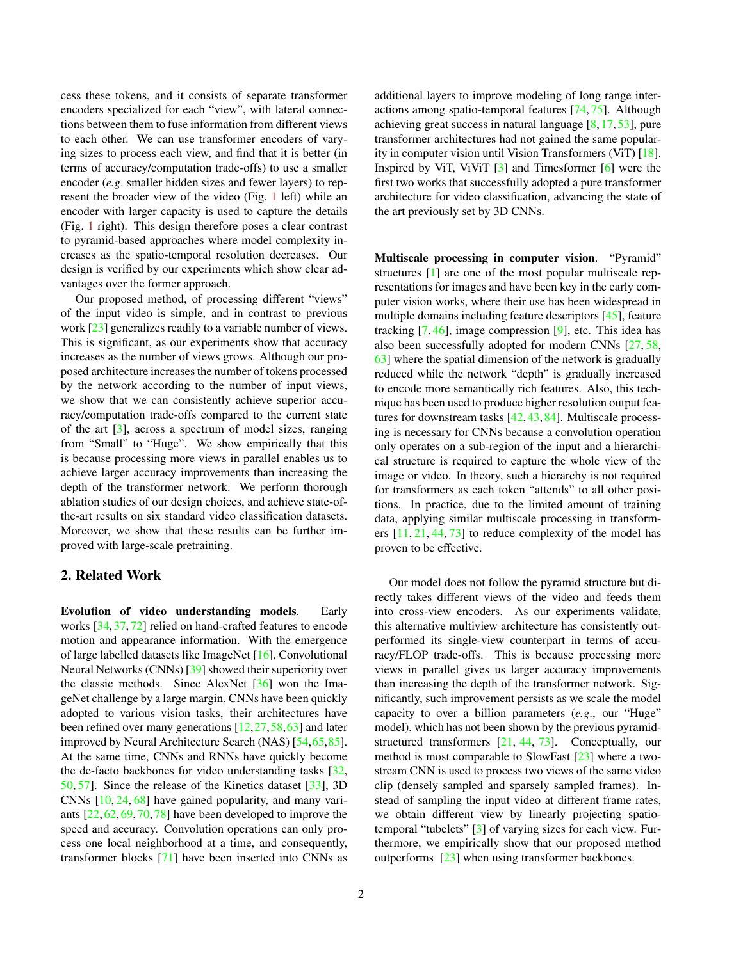<span id="page-1-0"></span>cess these tokens, and it consists of separate transformer encoders specialized for each "view", with lateral connections between them to fuse information from different views to each other. We can use transformer encoders of varying sizes to process each view, and find that it is better (in terms of accuracy/computation trade-offs) to use a smaller encoder (*e.g*. smaller hidden sizes and fewer layers) to represent the broader view of the video (Fig. [1](#page-0-0) left) while an encoder with larger capacity is used to capture the details (Fig. [1](#page-0-0) right). This design therefore poses a clear contrast to pyramid-based approaches where model complexity increases as the spatio-temporal resolution decreases. Our design is verified by our experiments which show clear advantages over the former approach.

Our proposed method, of processing different "views" of the input video is simple, and in contrast to previous work [\[23\]](#page-9-6) generalizes readily to a variable number of views. This is significant, as our experiments show that accuracy increases as the number of views grows. Although our proposed architecture increases the number of tokens processed by the network according to the number of input views, we show that we can consistently achieve superior accuracy/computation trade-offs compared to the current state of the art  $\lceil 3 \rceil$ , across a spectrum of model sizes, ranging from "Small" to "Huge". We show empirically that this is because processing more views in parallel enables us to achieve larger accuracy improvements than increasing the depth of the transformer network. We perform thorough ablation studies of our design choices, and achieve state-ofthe-art results on six standard video classification datasets. Moreover, we show that these results can be further improved with large-scale pretraining.

# 2. Related Work

Evolution of video understanding models. Early works [\[34,](#page-9-7) [37,](#page-9-8) [72\]](#page-10-3) relied on hand-crafted features to encode motion and appearance information. With the emergence of large labelled datasets like ImageNet [\[16\]](#page-9-9), Convolutional Neural Networks (CNNs) [\[39\]](#page-9-10) showed their superiority over the classic methods. Since AlexNet  $[36]$  won the ImageNet challenge by a large margin, CNNs have been quickly adopted to various vision tasks, their architectures have been refined over many generations [\[12,](#page-8-4)[27,](#page-9-12)[58,](#page-10-4)[63\]](#page-10-5) and later improved by Neural Architecture Search (NAS) [\[54](#page-10-6)[,65,](#page-10-7)[85\]](#page-11-1). At the same time, CNNs and RNNs have quickly become the de-facto backbones for video understanding tasks [\[32,](#page-9-13) [50,](#page-10-8) [57\]](#page-10-9). Since the release of the Kinetics dataset [\[33\]](#page-9-14), 3D CNNs [\[10,](#page-8-5) [24,](#page-9-15) [68\]](#page-10-10) have gained popularity, and many variants [\[22,](#page-9-16) [62,](#page-10-11) [69,](#page-10-12) [70,](#page-10-13) [78\]](#page-10-14) have been developed to improve the speed and accuracy. Convolution operations can only process one local neighborhood at a time, and consequently, transformer blocks [\[71\]](#page-10-15) have been inserted into CNNs as

2

additional layers to improve modeling of long range interactions among spatio-temporal features [\[74,](#page-10-16) [75\]](#page-10-17). Although achieving great success in natural language [\[8,](#page-8-6) [17,](#page-9-17) [53\]](#page-10-18), pure transformer architectures had not gained the same popularity in computer vision until Vision Transformers (ViT) [\[18\]](#page-9-18). Inspired by ViT, ViViT [\[3\]](#page-8-3) and Timesformer [\[6\]](#page-8-7) were the first two works that successfully adopted a pure transformer architecture for video classification, advancing the state of the art previously set by 3D CNNs.

Multiscale processing in computer vision. "Pyramid" structures [\[1\]](#page-8-8) are one of the most popular multiscale representations for images and have been key in the early computer vision works, where their use has been widespread in multiple domains including feature descriptors [\[45\]](#page-9-19), feature tracking  $[7, 46]$  $[7, 46]$  $[7, 46]$ , image compression  $[9]$ , etc. This idea has also been successfully adopted for modern CNNs [\[27,](#page-9-12) [58,](#page-10-4) [63\]](#page-10-5) where the spatial dimension of the network is gradually reduced while the network "depth" is gradually increased to encode more semantically rich features. Also, this technique has been used to produce higher resolution output features for downstream tasks [\[42,](#page-9-2)[43,](#page-9-3)[84\]](#page-11-0). Multiscale processing is necessary for CNNs because a convolution operation only operates on a sub-region of the input and a hierarchical structure is required to capture the whole view of the image or video. In theory, such a hierarchy is not required for transformers as each token "attends" to all other positions. In practice, due to the limited amount of training data, applying similar multiscale processing in transformers  $[11, 21, 44, 73]$  $[11, 21, 44, 73]$  $[11, 21, 44, 73]$  $[11, 21, 44, 73]$  $[11, 21, 44, 73]$  $[11, 21, 44, 73]$  $[11, 21, 44, 73]$  to reduce complexity of the model has proven to be effective.

Our model does not follow the pyramid structure but directly takes different views of the video and feeds them into cross-view encoders. As our experiments validate, this alternative multiview architecture has consistently outperformed its single-view counterpart in terms of accuracy/FLOP trade-offs. This is because processing more views in parallel gives us larger accuracy improvements than increasing the depth of the transformer network. Significantly, such improvement persists as we scale the model capacity to over a billion parameters (*e.g*., our "Huge" model), which has not been shown by the previous pyramidstructured transformers [\[21,](#page-9-21) [44,](#page-9-4) [73\]](#page-10-0). Conceptually, our method is most comparable to SlowFast [\[23\]](#page-9-6) where a twostream CNN is used to process two views of the same video clip (densely sampled and sparsely sampled frames). Instead of sampling the input video at different frame rates, we obtain different view by linearly projecting spatiotemporal "tubelets" [\[3\]](#page-8-3) of varying sizes for each view. Furthermore, we empirically show that our proposed method outperforms [\[23\]](#page-9-6) when using transformer backbones.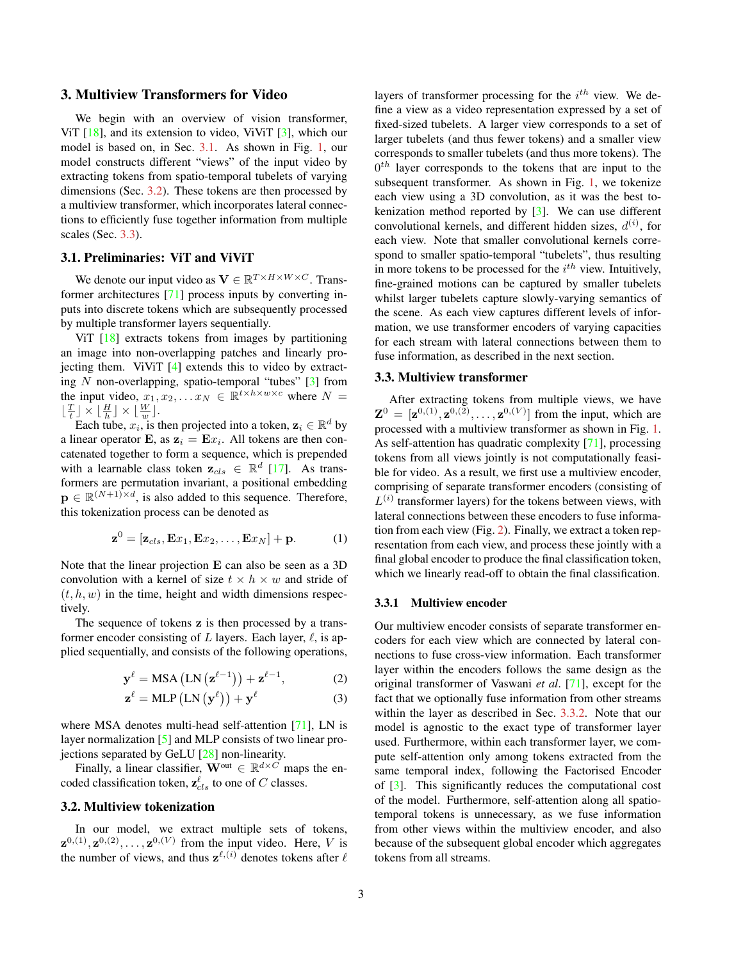# <span id="page-2-6"></span>3. Multiview Transformers for Video

We begin with an overview of vision transformer, ViT  $[18]$ , and its extension to video, ViViT  $[3]$ , which our model is based on, in Sec. [3.1.](#page-2-0) As shown in Fig. [1,](#page-0-0) our model constructs different "views" of the input video by extracting tokens from spatio-temporal tubelets of varying dimensions (Sec. [3.2\)](#page-2-1). These tokens are then processed by a multiview transformer, which incorporates lateral connections to efficiently fuse together information from multiple scales (Sec. [3.3\)](#page-2-2).

#### <span id="page-2-0"></span>3.1. Preliminaries: ViT and ViViT

We denote our input video as  $\mathbf{V} \in \mathbb{R}^{T \times H \times W \times C}$ . Transformer architectures [\[71\]](#page-10-15) process inputs by converting inputs into discrete tokens which are subsequently processed by multiple transformer layers sequentially.

ViT [\[18\]](#page-9-18) extracts tokens from images by partitioning an image into non-overlapping patches and linearly projecting them. ViViT [\[4\]](#page-8-2) extends this to video by extracting N non-overlapping, spatio-temporal "tubes"  $[3]$  from the input video,  $x_1, x_2, \ldots x_N \in \mathbb{R}^{t \times h \times w \times c}$  where  $N =$  $\lfloor \frac{T}{t} \rfloor \times \lfloor \frac{H}{h} \rfloor \times \lfloor \frac{W}{w} \rfloor.$ 

Each tube,  $x_i$ , is then projected into a token,  $z_i \in \mathbb{R}^d$  by a linear operator **E**, as  $z_i = Ex_i$ . All tokens are then concatenated together to form a sequence, which is prepended with a learnable class token  $\mathbf{z}_{cls} \in \mathbb{R}^d$  [\[17\]](#page-9-17). As transformers are permutation invariant, a positional embedding  $\mathbf{p} \in \mathbb{R}^{(N+1)\times d}$ , is also added to this sequence. Therefore, this tokenization process can be denoted as

$$
\mathbf{z}^0 = [\mathbf{z}_{cls}, \mathbf{E}x_1, \mathbf{E}x_2, \dots, \mathbf{E}x_N] + \mathbf{p}.
$$
 (1)

Note that the linear projection E can also be seen as a 3D convolution with a kernel of size  $t \times h \times w$  and stride of  $(t, h, w)$  in the time, height and width dimensions respectively.

The sequence of tokens z is then processed by a transformer encoder consisting of  $L$  layers. Each layer,  $\ell$ , is applied sequentially, and consists of the following operations,

$$
\mathbf{y}^{\ell} = \text{MSA} \left( \text{LN} \left( \mathbf{z}^{\ell-1} \right) \right) + \mathbf{z}^{\ell-1}, \tag{2}
$$

$$
\mathbf{z}^{\ell} = \text{MLP}\left(\text{LN}\left(\mathbf{y}^{\ell}\right)\right) + \mathbf{y}^{\ell} \tag{3}
$$

where MSA denotes multi-head self-attention [\[71\]](#page-10-15), LN is layer normalization [\[5\]](#page-8-10) and MLP consists of two linear projections separated by GeLU [\[28\]](#page-9-22) non-linearity.

Finally, a linear classifier,  $\mathbf{W}^{\text{out}} \in \mathbb{R}^{d \times C}$  maps the encoded classification token,  $\mathbf{z}_{cls}^{\ell}$  to one of C classes.

# <span id="page-2-1"></span>3.2. Multiview tokenization

In our model, we extract multiple sets of tokens,  $\mathbf{z}^{0,(1)}, \mathbf{z}^{0,(2)}, \ldots, \mathbf{z}^{0,(V)}$  from the input video. Here, V is the number of views, and thus  $z^{\ell,(i)}$  denotes tokens after  $\ell$ 

layers of transformer processing for the  $i^{th}$  view. We define a view as a video representation expressed by a set of fixed-sized tubelets. A larger view corresponds to a set of larger tubelets (and thus fewer tokens) and a smaller view corresponds to smaller tubelets (and thus more tokens). The  $0<sup>th</sup>$  layer corresponds to the tokens that are input to the subsequent transformer. As shown in Fig. [1,](#page-0-0) we tokenize each view using a 3D convolution, as it was the best tokenization method reported by [\[3\]](#page-8-3). We can use different convolutional kernels, and different hidden sizes,  $d^{(i)}$ , for each view. Note that smaller convolutional kernels correspond to smaller spatio-temporal "tubelets", thus resulting in more tokens to be processed for the  $i^{th}$  view. Intuitively, fine-grained motions can be captured by smaller tubelets whilst larger tubelets capture slowly-varying semantics of the scene. As each view captures different levels of information, we use transformer encoders of varying capacities for each stream with lateral connections between them to fuse information, as described in the next section.

#### <span id="page-2-2"></span>3.3. Multiview transformer

After extracting tokens from multiple views, we have  ${\bf Z}^{0} = [{\bf z}^{0,(1)},{\bf z}^{0,(2)},\ldots,{\bf z}^{0,(V)}]$  from the input, which are processed with a multiview transformer as shown in Fig. [1.](#page-0-0) As self-attention has quadratic complexity [\[71\]](#page-10-15), processing tokens from all views jointly is not computationally feasible for video. As a result, we first use a multiview encoder, comprising of separate transformer encoders (consisting of  $L^{(i)}$  transformer layers) for the tokens between views, with lateral connections between these encoders to fuse information from each view (Fig. [2\)](#page-3-0). Finally, we extract a token representation from each view, and process these jointly with a final global encoder to produce the final classification token, which we linearly read-off to obtain the final classification.

#### <span id="page-2-5"></span>3.3.1 Multiview encoder

<span id="page-2-4"></span><span id="page-2-3"></span>Our multiview encoder consists of separate transformer encoders for each view which are connected by lateral connections to fuse cross-view information. Each transformer layer within the encoders follows the same design as the original transformer of Vaswani *et al*. [\[71\]](#page-10-15), except for the fact that we optionally fuse information from other streams within the layer as described in Sec. [3.3.2.](#page-3-1) Note that our model is agnostic to the exact type of transformer layer used. Furthermore, within each transformer layer, we compute self-attention only among tokens extracted from the same temporal index, following the Factorised Encoder of [\[3\]](#page-8-3). This significantly reduces the computational cost of the model. Furthermore, self-attention along all spatiotemporal tokens is unnecessary, as we fuse information from other views within the multiview encoder, and also because of the subsequent global encoder which aggregates tokens from all streams.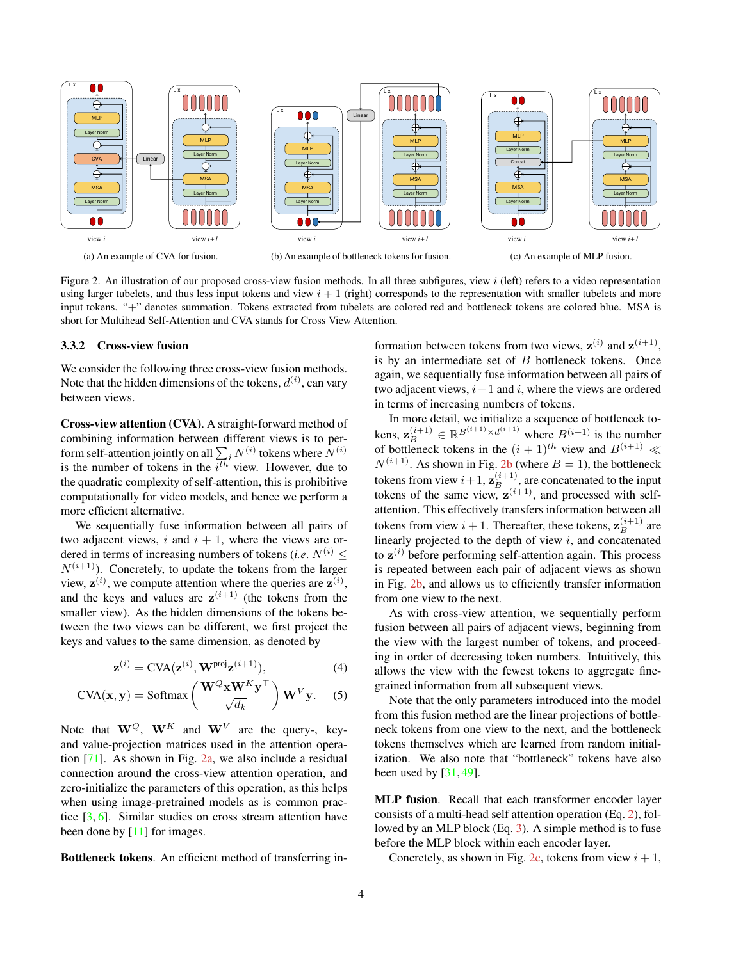<span id="page-3-2"></span><span id="page-3-0"></span>

Figure 2. An illustration of our proposed cross-view fusion methods. In all three subfigures, view  $i$  (left) refers to a video representation using larger tubelets, and thus less input tokens and view  $i + 1$  (right) corresponds to the representation with smaller tubelets and more input tokens. "+" denotes summation. Tokens extracted from tubelets are colored red and bottleneck tokens are colored blue. MSA is short for Multihead Self-Attention and CVA stands for Cross View Attention.

#### <span id="page-3-1"></span>3.3.2 Cross-view fusion

We consider the following three cross-view fusion methods. Note that the hidden dimensions of the tokens,  $d^{(i)}$ , can vary between views.

Cross-view attention (CVA). A straight-forward method of combining information between different views is to perform self-attention jointly on all  $\sum_i N^{(i)}$  tokens where  $N^{(i)}$ is the number of tokens in the  $i^{th}$  view. However, due to the quadratic complexity of self-attention, this is prohibitive computationally for video models, and hence we perform a more efficient alternative.

We sequentially fuse information between all pairs of two adjacent views, i and  $i + 1$ , where the views are ordered in terms of increasing numbers of tokens (*i.e.*  $N^{(i)}$  <  $N^{(i+1)}$ ). Concretely, to update the tokens from the larger view,  $z^{(i)}$ , we compute attention where the queries are  $z^{(i)}$ , and the keys and values are  $z^{(i+1)}$  (the tokens from the smaller view). As the hidden dimensions of the tokens between the two views can be different, we first project the keys and values to the same dimension, as denoted by

$$
\mathbf{z}^{(i)} = \text{CVA}(\mathbf{z}^{(i)}, \mathbf{W}^{\text{proj}} \mathbf{z}^{(i+1)}),\tag{4}
$$

$$
CVA(\mathbf{x}, \mathbf{y}) = \text{Softmax}\left(\frac{\mathbf{W}^{Q} \mathbf{x} \mathbf{W}^{K} \mathbf{y}^{\top}}{\sqrt{d_k}}\right) \mathbf{W}^{V} \mathbf{y}.
$$
 (5)

Note that  $W^Q$ ,  $W^K$  and  $W^V$  are the query-, keyand value-projection matrices used in the attention operation [\[71\]](#page-10-15). As shown in Fig. [2a,](#page-3-0) we also include a residual connection around the cross-view attention operation, and zero-initialize the parameters of this operation, as this helps when using image-pretrained models as is common practice [\[3,](#page-8-3) [6\]](#page-8-7). Similar studies on cross stream attention have been done by [\[11\]](#page-8-1) for images.

Bottleneck tokens. An efficient method of transferring in-

formation between tokens from two views,  $z^{(i)}$  and  $z^{(i+1)}$ , is by an intermediate set of  $B$  bottleneck tokens. Once again, we sequentially fuse information between all pairs of two adjacent views,  $i+1$  and i, where the views are ordered in terms of increasing numbers of tokens.

In more detail, we initialize a sequence of bottleneck tokens,  $\mathbf{z}_{B}^{(i+1)} \in \mathbb{R}^{B^{(i+1)} \times d^{(i+1)}}$  where  $B^{(i+1)}$  is the number of bottleneck tokens in the  $(i + 1)$ <sup>th</sup> view and  $B^{(i+1)} \ll$  $N^{(i+1)}$ . As shown in Fig. [2b](#page-3-0) (where  $B = 1$ ), the bottleneck tokens from view  $i+1$ ,  $\mathbf{z}_{B}^{(i+1)}$ , are concatenated to the input tokens of the same view,  $z^{(i+1)}$ , and processed with selfattention. This effectively transfers information between all tokens from view  $i+1$ . Thereafter, these tokens,  $\mathbf{z}_{B}^{(i+1)}$  are linearly projected to the depth of view  $i$ , and concatenated to  $z^{(i)}$  before performing self-attention again. This process is repeated between each pair of adjacent views as shown in Fig. [2b,](#page-3-0) and allows us to efficiently transfer information from one view to the next.

As with cross-view attention, we sequentially perform fusion between all pairs of adjacent views, beginning from the view with the largest number of tokens, and proceeding in order of decreasing token numbers. Intuitively, this allows the view with the fewest tokens to aggregate finegrained information from all subsequent views.

Note that the only parameters introduced into the model from this fusion method are the linear projections of bottleneck tokens from one view to the next, and the bottleneck tokens themselves which are learned from random initialization. We also note that "bottleneck" tokens have also been used by  $[31, 49]$  $[31, 49]$  $[31, 49]$ .

MLP fusion. Recall that each transformer encoder layer consists of a multi-head self attention operation (Eq. [2\)](#page-2-3), followed by an MLP block (Eq. [3\)](#page-2-4). A simple method is to fuse before the MLP block within each encoder layer.

Concretely, as shown in Fig. [2c,](#page-3-0) tokens from view  $i + 1$ ,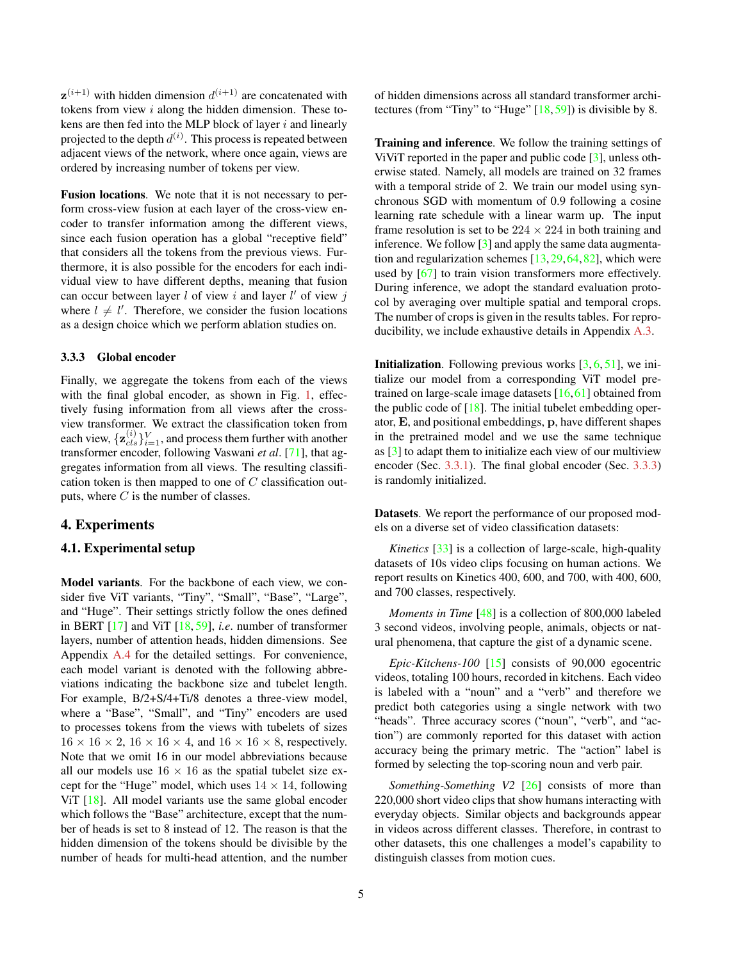<span id="page-4-1"></span> $z^{(i+1)}$  with hidden dimension  $d^{(i+1)}$  are concatenated with tokens from view i along the hidden dimension. These tokens are then fed into the MLP block of layer  $i$  and linearly projected to the depth  $d^{(i)}$ . This process is repeated between adjacent views of the network, where once again, views are ordered by increasing number of tokens per view.

Fusion locations. We note that it is not necessary to perform cross-view fusion at each layer of the cross-view encoder to transfer information among the different views, since each fusion operation has a global "receptive field" that considers all the tokens from the previous views. Furthermore, it is also possible for the encoders for each individual view to have different depths, meaning that fusion can occur between layer  $l$  of view  $i$  and layer  $l'$  of view  $j$ where  $l \neq l'$ . Therefore, we consider the fusion locations as a design choice which we perform ablation studies on.

#### <span id="page-4-0"></span>3.3.3 Global encoder

Finally, we aggregate the tokens from each of the views with the final global encoder, as shown in Fig. [1,](#page-0-0) effectively fusing information from all views after the crossview transformer. We extract the classification token from each view,  $\{z_{cls}^{(i)}\}_{i=1}^{V}$ , and process them further with another transformer encoder, following Vaswani *et al*. [\[71\]](#page-10-15), that aggregates information from all views. The resulting classification token is then mapped to one of  $C$  classification outputs, where  $C$  is the number of classes.

# 4. Experiments

### 4.1. Experimental setup

Model variants. For the backbone of each view, we consider five ViT variants, "Tiny", "Small", "Base", "Large", and "Huge". Their settings strictly follow the ones defined in BERT [\[17\]](#page-9-17) and ViT [\[18,](#page-9-18) [59\]](#page-10-20), *i.e*. number of transformer layers, number of attention heads, hidden dimensions. See Appendix [A.4](#page-12-0) for the detailed settings. For convenience, each model variant is denoted with the following abbreviations indicating the backbone size and tubelet length. For example, B/2+S/4+Ti/8 denotes a three-view model, where a "Base", "Small", and "Tiny" encoders are used to processes tokens from the views with tubelets of sizes  $16 \times 16 \times 2$ ,  $16 \times 16 \times 4$ , and  $16 \times 16 \times 8$ , respectively. Note that we omit 16 in our model abbreviations because all our models use  $16 \times 16$  as the spatial tubelet size except for the "Huge" model, which uses  $14 \times 14$ , following ViT [\[18\]](#page-9-18). All model variants use the same global encoder which follows the "Base" architecture, except that the number of heads is set to 8 instead of 12. The reason is that the hidden dimension of the tokens should be divisible by the number of heads for multi-head attention, and the number of hidden dimensions across all standard transformer architectures (from "Tiny" to "Huge" [\[18,](#page-9-18) [59\]](#page-10-20)) is divisible by 8.

Training and inference. We follow the training settings of ViViT reported in the paper and public code [\[3\]](#page-8-3), unless otherwise stated. Namely, all models are trained on 32 frames with a temporal stride of 2. We train our model using synchronous SGD with momentum of 0.9 following a cosine learning rate schedule with a linear warm up. The input frame resolution is set to be  $224 \times 224$  in both training and inference. We follow [\[3\]](#page-8-3) and apply the same data augmentation and regularization schemes  $[13,29,64,82]$  $[13,29,64,82]$  $[13,29,64,82]$  $[13,29,64,82]$ , which were used by [\[67\]](#page-10-22) to train vision transformers more effectively. During inference, we adopt the standard evaluation protocol by averaging over multiple spatial and temporal crops. The number of crops is given in the results tables. For reproducibility, we include exhaustive details in Appendix [A.3.](#page-12-1)

**Initialization.** Following previous works  $[3, 6, 51]$  $[3, 6, 51]$  $[3, 6, 51]$  $[3, 6, 51]$  $[3, 6, 51]$ , we initialize our model from a corresponding ViT model pretrained on large-scale image datasets  $[16,61]$  $[16,61]$  obtained from the public code of  $[18]$ . The initial tubelet embedding operator, E, and positional embeddings, p, have different shapes in the pretrained model and we use the same technique as [\[3\]](#page-8-3) to adapt them to initialize each view of our multiview encoder (Sec. [3.3.1\)](#page-2-5). The final global encoder (Sec. [3.3.3\)](#page-4-0) is randomly initialized.

Datasets. We report the performance of our proposed models on a diverse set of video classification datasets:

*Kinetics* [\[33\]](#page-9-14) is a collection of large-scale, high-quality datasets of 10s video clips focusing on human actions. We report results on Kinetics 400, 600, and 700, with 400, 600, and 700 classes, respectively.

*Moments in Time* [\[48\]](#page-10-25) is a collection of 800,000 labeled 3 second videos, involving people, animals, objects or natural phenomena, that capture the gist of a dynamic scene.

*Epic-Kitchens-100* [\[15\]](#page-9-26) consists of 90,000 egocentric videos, totaling 100 hours, recorded in kitchens. Each video is labeled with a "noun" and a "verb" and therefore we predict both categories using a single network with two "heads". Three accuracy scores ("noun", "verb", and "action") are commonly reported for this dataset with action accuracy being the primary metric. The "action" label is formed by selecting the top-scoring noun and verb pair.

*Something-Something V2* [\[26\]](#page-9-27) consists of more than 220,000 short video clips that show humans interacting with everyday objects. Similar objects and backgrounds appear in videos across different classes. Therefore, in contrast to other datasets, this one challenges a model's capability to distinguish classes from motion cues.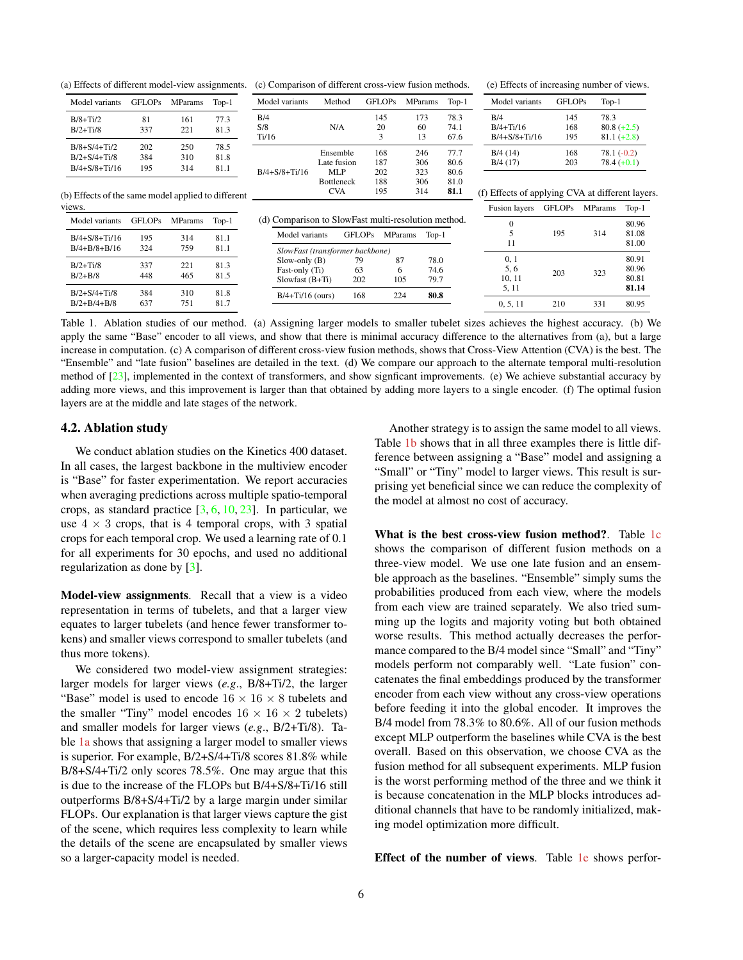<span id="page-5-1"></span>

| Model variants      | <b>GFLOPs</b> | <b>MParams</b> | $Top-1$ |
|---------------------|---------------|----------------|---------|
| $B/8+Ti/2$          | 81            | 161            | 77.3    |
| $B/2+Ti/8$          | 337           | 221            | 81.3    |
| $B/8 + S/4 + Ti/2$  | 202           | 250            | 78.5    |
| $B/2 + S/4 + Ti/8$  | 384           | 310            | 81.8    |
| $B/4 + S/8 + Ti/16$ | 195           | 314            | 811     |

<span id="page-5-0"></span>(a) Effects of different model-view assignments. (c) Comparison of different cross-view fusion methods.

| Model variants                                      | Method                          | <b>GFLOPs</b>  | <b>MParams</b> |         |        | Model variants                                   | <b>GFLOPs</b> |                |               |
|-----------------------------------------------------|---------------------------------|----------------|----------------|---------|--------|--------------------------------------------------|---------------|----------------|---------------|
|                                                     |                                 |                |                | $Top-1$ |        |                                                  |               | $Top-1$        |               |
| B/4                                                 |                                 | 145            | 173            | 78.3    | B/4    |                                                  | 78.3<br>145   |                |               |
| S/8                                                 | N/A                             | 20             | 60             | 74.1    |        | $B/4+Ti/16$                                      | 168           |                | $80.8 (+2.5)$ |
| Ti/16                                               |                                 | 3              | 13             | 67.6    |        | $B/4 + S/8 + Ti/16$                              | 195           |                | $81.1 (+2.8)$ |
|                                                     | Ensemble                        | 168            | 246            | 77.7    |        | B/4(14)                                          | 168           | $78.1(-0.2)$   |               |
|                                                     | Late fusion                     | 187            | 306            | 80.6    |        | B/4(17)                                          | 203           |                | $78.4 (+0.1)$ |
| $B/4 + S/8 + Ti/16$                                 | <b>MLP</b>                      | 202            | 323            | 80.6    |        |                                                  |               |                |               |
|                                                     | <b>Bottleneck</b>               | 188            | 306            | 81.0    |        |                                                  |               |                |               |
|                                                     | <b>CVA</b>                      | 195            | 314            | 81.1    |        | (f) Effects of applying CVA at different layers. |               |                |               |
|                                                     |                                 |                |                |         |        | <b>Fusion</b> layers                             | <b>GFLOPs</b> | <b>MParams</b> | $Top-1$       |
| (d) Comparison to SlowFast multi-resolution method. |                                 |                |                |         |        | $\Omega$                                         |               |                | 80.96         |
| Model variants                                      | <b>GFLOPs</b>                   | <b>MParams</b> | $Top-1$        |         |        | 5                                                | 195           | 314            | 81.08         |
|                                                     |                                 |                |                |         |        | 11                                               |               |                | 81.00         |
|                                                     | SlowFast (transformer backbone) |                |                |         |        |                                                  |               |                |               |
| $Slow-only(B)$                                      | 79                              | 87             | 78.0           |         |        | 0, 1                                             |               |                | 80.91         |
| Fast-only (Ti)                                      | 63                              | 6              | 74.6           |         |        | 5, 6                                             | 203           | 323            | 80.96         |
| $S$ lowfast $(B+Ti)$                                | 105<br>202                      |                | 79.7           |         | 10, 11 |                                                  |               | 80.81          |               |
| $B/4+Ti/16$ (ours)                                  | 168                             | 224            | 80.8           |         |        | 5, 11                                            |               |                | 81.14         |
|                                                     |                                 |                |                |         |        | 0, 5, 11                                         | 210           | 331            | 80.95         |

views.

(b) Effects of the same model applied to different

| Model variants      | <b>GFLOPs</b> | <b>MParams</b> | $Top-1$ |
|---------------------|---------------|----------------|---------|
| $B/4 + S/8 + Ti/16$ | 195           | 314            | 81.1    |
| $B/4 + B/8 + B/16$  | 324           | 759            | 81.1    |
| $B/2+Ti/8$          | 337           | 221            | 81.3    |
| $B/2 + B/8$         | 448           | 465            | 81.5    |
| $B/2 + S/4 + Ti/8$  | 384           | 310            | 81.8    |
| $B/2 + B/4 + B/8$   | 637           | 751            | 817     |

Table 1. Ablation studies of our method. (a) Assigning larger models to smaller tubelet sizes achieves the highest accuracy. (b) We apply the same "Base" encoder to all views, and show that there is minimal accuracy difference to the alternatives from (a), but a large increase in computation. (c) A comparison of different cross-view fusion methods, shows that Cross-View Attention (CVA) is the best. The "Ensemble" and "late fusion" baselines are detailed in the text. (d) We compare our approach to the alternate temporal multi-resolution method of  $[23]$ , implemented in the context of transformers, and show signficant improvements. (e) We achieve substantial accuracy by adding more views, and this improvement is larger than that obtained by adding more layers to a single encoder. (f) The optimal fusion layers are at the middle and late stages of the network.

### 4.2. Ablation study

We conduct ablation studies on the Kinetics 400 dataset. In all cases, the largest backbone in the multiview encoder is "Base" for faster experimentation. We report accuracies when averaging predictions across multiple spatio-temporal crops, as standard practice  $[3, 6, 10, 23]$  $[3, 6, 10, 23]$  $[3, 6, 10, 23]$  $[3, 6, 10, 23]$  $[3, 6, 10, 23]$  $[3, 6, 10, 23]$  $[3, 6, 10, 23]$ . In particular, we use  $4 \times 3$  crops, that is 4 temporal crops, with 3 spatial crops for each temporal crop. We used a learning rate of 0.1 for all experiments for 30 epochs, and used no additional regularization as done by [\[3\]](#page-8-3).

Model-view assignments. Recall that a view is a video representation in terms of tubelets, and that a larger view equates to larger tubelets (and hence fewer transformer tokens) and smaller views correspond to smaller tubelets (and thus more tokens).

We considered two model-view assignment strategies: larger models for larger views (*e.g*., B/8+Ti/2, the larger "Base" model is used to encode  $16 \times 16 \times 8$  tubelets and the smaller "Tiny" model encodes  $16 \times 16 \times 2$  tubelets) and smaller models for larger views (*e.g*., B/2+Ti/8). Table [1a](#page-5-0) shows that assigning a larger model to smaller views is superior. For example, B/2+S/4+Ti/8 scores 81.8% while B/8+S/4+Ti/2 only scores 78.5%. One may argue that this is due to the increase of the FLOPs but B/4+S/8+Ti/16 still outperforms B/8+S/4+Ti/2 by a large margin under similar FLOPs. Our explanation is that larger views capture the gist of the scene, which requires less complexity to learn while the details of the scene are encapsulated by smaller views so a larger-capacity model is needed.

Another strategy is to assign the same model to all views. Table [1b](#page-5-0) shows that in all three examples there is little difference between assigning a "Base" model and assigning a "Small" or "Tiny" model to larger views. This result is surprising yet beneficial since we can reduce the complexity of the model at almost no cost of accuracy.

(e) Effects of increasing number of views.

What is the best cross-view fusion method?. Table [1c](#page-5-0) shows the comparison of different fusion methods on a three-view model. We use one late fusion and an ensemble approach as the baselines. "Ensemble" simply sums the probabilities produced from each view, where the models from each view are trained separately. We also tried summing up the logits and majority voting but both obtained worse results. This method actually decreases the performance compared to the B/4 model since "Small" and "Tiny" models perform not comparably well. "Late fusion" concatenates the final embeddings produced by the transformer encoder from each view without any cross-view operations before feeding it into the global encoder. It improves the B/4 model from 78.3% to 80.6%. All of our fusion methods except MLP outperform the baselines while CVA is the best overall. Based on this observation, we choose CVA as the fusion method for all subsequent experiments. MLP fusion is the worst performing method of the three and we think it is because concatenation in the MLP blocks introduces additional channels that have to be randomly initialized, making model optimization more difficult.

Effect of the number of views. Table [1e](#page-5-0) shows perfor-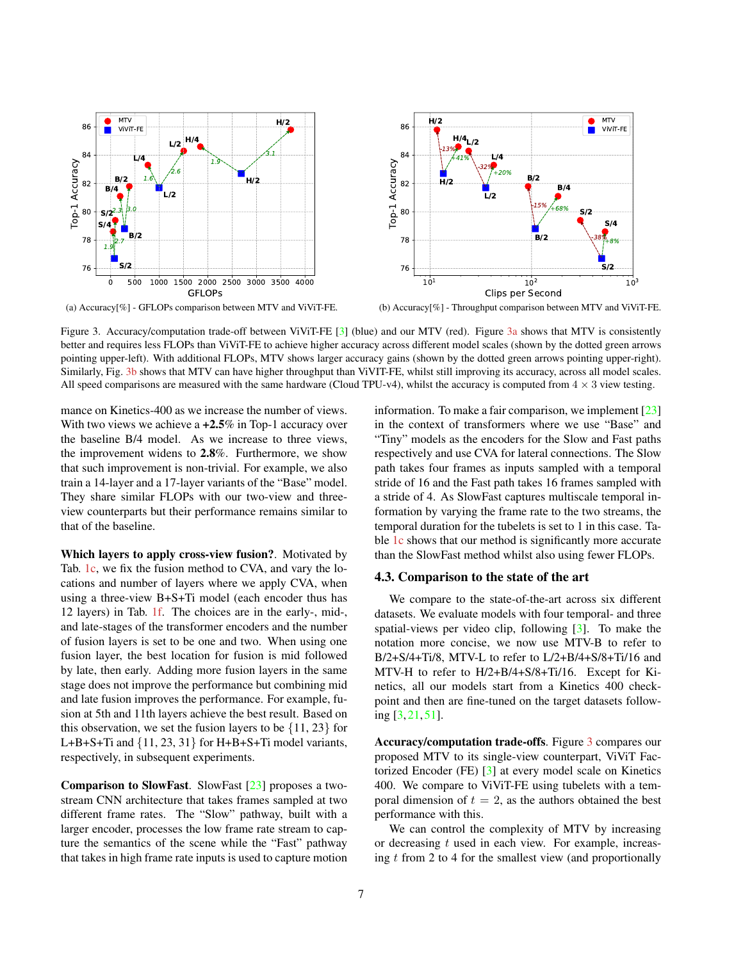<span id="page-6-1"></span><span id="page-6-0"></span>

(a) Accuracy[%] - GFLOPs comparison between MTV and ViViT-FE.

(b) Accuracy[%] - Throughput comparison between MTV and ViViT-FE.

Figure 3. Accuracy/computation trade-off between ViViT-FE [\[3\]](#page-8-3) (blue) and our MTV (red). Figure [3a](#page-6-0) shows that MTV is consistently better and requires less FLOPs than ViViT-FE to achieve higher accuracy across different model scales (shown by the dotted green arrows pointing upper-left). With additional FLOPs, MTV shows larger accuracy gains (shown by the dotted green arrows pointing upper-right). Similarly, Fig. [3b](#page-6-0) shows that MTV can have higher throughput than ViVIT-FE, whilst still improving its accuracy, across all model scales. All speed comparisons are measured with the same hardware (Cloud TPU-v4), whilst the accuracy is computed from  $4 \times 3$  view testing.

mance on Kinetics-400 as we increase the number of views. With two views we achieve a  $+2.5\%$  in Top-1 accuracy over the baseline B/4 model. As we increase to three views, the improvement widens to 2.8%. Furthermore, we show that such improvement is non-trivial. For example, we also train a 14-layer and a 17-layer variants of the "Base" model. They share similar FLOPs with our two-view and threeview counterparts but their performance remains similar to that of the baseline.

Which layers to apply cross-view fusion?. Motivated by Tab. [1c,](#page-5-0) we fix the fusion method to CVA, and vary the locations and number of layers where we apply CVA, when using a three-view B+S+Ti model (each encoder thus has 12 layers) in Tab. [1f.](#page-5-0) The choices are in the early-, mid-, and late-stages of the transformer encoders and the number of fusion layers is set to be one and two. When using one fusion layer, the best location for fusion is mid followed by late, then early. Adding more fusion layers in the same stage does not improve the performance but combining mid and late fusion improves the performance. For example, fusion at 5th and 11th layers achieve the best result. Based on this observation, we set the fusion layers to be  $\{11, 23\}$  for L+B+S+Ti and  $\{11, 23, 31\}$  for H+B+S+Ti model variants, respectively, in subsequent experiments.

Comparison to SlowFast. SlowFast [\[23\]](#page-9-6) proposes a twostream CNN architecture that takes frames sampled at two different frame rates. The "Slow" pathway, built with a larger encoder, processes the low frame rate stream to capture the semantics of the scene while the "Fast" pathway that takes in high frame rate inputs is used to capture motion information. To make a fair comparison, we implement  $[23]$ in the context of transformers where we use "Base" and "Tiny" models as the encoders for the Slow and Fast paths respectively and use CVA for lateral connections. The Slow path takes four frames as inputs sampled with a temporal stride of 16 and the Fast path takes 16 frames sampled with a stride of 4. As SlowFast captures multiscale temporal information by varying the frame rate to the two streams, the temporal duration for the tubelets is set to 1 in this case. Ta-ble [1c](#page-5-0) shows that our method is significantly more accurate than the SlowFast method whilst also using fewer FLOPs.

#### 4.3. Comparison to the state of the art

We compare to the state-of-the-art across six different datasets. We evaluate models with four temporal- and three spatial-views per video clip, following [\[3\]](#page-8-3). To make the notation more concise, we now use MTV-B to refer to B/2+S/4+Ti/8, MTV-L to refer to L/2+B/4+S/8+Ti/16 and MTV-H to refer to H/2+B/4+S/8+Ti/16. Except for Kinetics, all our models start from a Kinetics 400 checkpoint and then are fine-tuned on the target datasets following [\[3,](#page-8-3) [21,](#page-9-21) [51\]](#page-10-23).

Accuracy/computation trade-offs. Figure [3](#page-6-0) compares our proposed MTV to its single-view counterpart, ViViT Factorized Encoder (FE) [\[3\]](#page-8-3) at every model scale on Kinetics 400. We compare to ViViT-FE using tubelets with a temporal dimension of  $t = 2$ , as the authors obtained the best performance with this.

We can control the complexity of MTV by increasing or decreasing t used in each view. For example, increasing  $t$  from 2 to 4 for the smallest view (and proportionally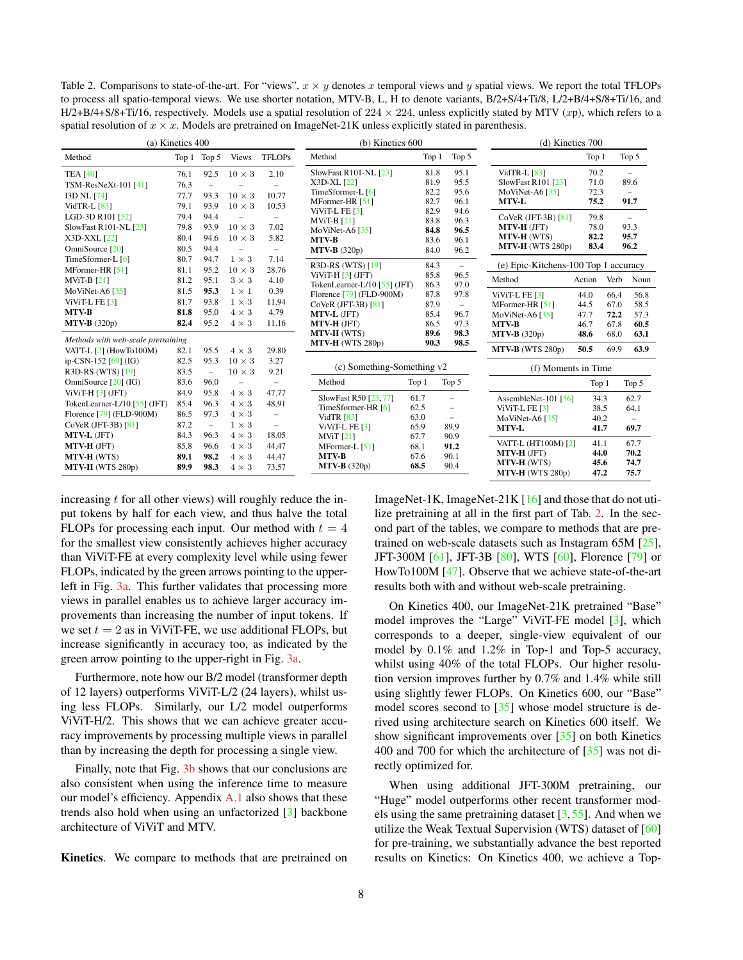<span id="page-7-1"></span><span id="page-7-0"></span>Table 2. Comparisons to state-of-the-art. For "views",  $x \times y$  denotes x temporal views and y spatial views. We report the total TFLOPs to process all spatio-temporal views. We use shorter notation, MTV-B, L, H to denote variants, B/2+S/4+Ti/8, L/2+B/4+S/8+Ti/16, and H/2+B/4+S/8+Ti/16, respectively. Models use a spatial resolution of  $224 \times 224$ , unless explicitly stated by MTV (xp), which refers to a spatial resolution of  $x \times x$ . Models are pretrained on ImageNet-21K unless explicitly stated in parenthesis.

| (a) Kinetics 400                                                                                  |                                      |                                                  | $(b)$ Kinetics $600$                                                             |                                                               |                                                                                                     | $(d)$ Kinetics $700$                 |                                                                                   |                                                                                              |                                      |                                      |                                                  |
|---------------------------------------------------------------------------------------------------|--------------------------------------|--------------------------------------------------|----------------------------------------------------------------------------------|---------------------------------------------------------------|-----------------------------------------------------------------------------------------------------|--------------------------------------|-----------------------------------------------------------------------------------|----------------------------------------------------------------------------------------------|--------------------------------------|--------------------------------------|--------------------------------------------------|
| Method                                                                                            |                                      | Top 1 Top 5                                      | <b>Views</b>                                                                     | <b>TFLOPs</b>                                                 | Method                                                                                              | Top 1                                | Top 5                                                                             |                                                                                              | Top 1                                |                                      | Top 5                                            |
| <b>TEA [40]</b><br>TSM-ResNeXt-101 [41]<br><b>I3D NL [74]</b><br>VidTR-L [83]                     | 76.1<br>76.3<br>77.7<br>79.1         | 92.5<br>$\overline{\phantom{a}}$<br>93.3<br>93.9 | $10 \times 3$<br>$10 \times 3$<br>$10 \times 3$                                  | 2.10<br>L.<br>10.77<br>10.53                                  | SlowFast R101-NL [23]<br>X3D-XL [22]<br>TimeSformer-L [6]<br>MFormer-HR [51]<br>ViViT-L FE [3]      | 81.8<br>81.9<br>82.2<br>82.7<br>82.9 | 95.1<br>95.5<br>95.6<br>96.1<br>94.6                                              | VidTR-L [83]<br>SlowFast R101 [23]<br>MoViNet-A6 $[35]$<br><b>MTV-L</b>                      | 70.2<br>71.0<br>72.3<br>75.2         |                                      | 89.6<br>$\overline{\phantom{0}}$<br>91.7         |
| LGD-3D R101 [52]<br>SlowFast R101-NL [23]<br>X3D-XXL [22]<br>OmniSource [20]<br>TimeSformer-L [6] | 79.4<br>79.8<br>80.4<br>80.5<br>80.7 | 94.4<br>93.9<br>94.6<br>94.4<br>94.7             | $\overline{\phantom{0}}$<br>$10 \times 3$<br>$10 \times 3$<br>÷.<br>$1 \times 3$ | 7.02<br>5.82<br>$\overline{\phantom{m}}$<br>7.14              | <b>MViT-B</b> [21]<br>MoViNet-A6 $[35]$<br><b>MTV-B</b><br>$MTV-B (320p)$                           | 83.8<br>84.8<br>83.6<br>84.0         | 96.3<br>96.5<br>96.1<br>96.2                                                      | CoVeR (JFT-3B) [81]<br><b>MTV-H (JFT)</b><br><b>MTV-H (WTS)</b><br>MTV-H (WTS 280p)          | 79.8<br>78.0<br>82.2<br>83.4         |                                      | $\overline{\phantom{a}}$<br>93.3<br>95.7<br>96.2 |
| MFormer-HR [51]<br>$MViT-B [21]$                                                                  | 81.1<br>81.2                         | 95.2<br>95.1                                     | $10 \times 3$<br>$3\times3$                                                      | 28.76<br>4.10                                                 | R3D-RS (WTS) [19]<br>ViViT-H $[3]$ (JFT)<br>TokenLearner-L/10 [55] (JFT)                            | 84.3<br>85.8<br>86.3                 | $\equiv$<br>96.5<br>97.0                                                          | (e) Epic-Kitchens-100 Top 1 accuracy<br>Method                                               | Action                               | Verb                                 | Noun                                             |
| MoViNet-A6 $[35]$<br>ViViT-L FE [3]<br><b>MTV-B</b><br>$MTV-B (320p)$                             | 81.5<br>81.7<br>81.8<br>82.4         | 95.3<br>93.8<br>95.0<br>95.2                     | $1 \times 1$<br>$1 \times 3$<br>$4 \times 3$<br>$4 \times 3$                     | 0.39<br>11.94<br>4.79<br>11.16                                | Florence [79] (FLD-900M)<br>CoVeR (JFT-3B) [81]<br>MTV-L (JFT)<br>MTV-H (JFT)<br><b>MTV-H (WTS)</b> | 87.8<br>87.9<br>85.4<br>86.5<br>89.6 | 97.8<br>$\equiv$<br>96.7<br>97.3<br>98.3                                          | ViViT-L FE $[3]$<br>MFormer-HR $[51]$<br>MoViNet-A6 $[35]$<br><b>MTV-B</b><br>$MTV-B (320p)$ | 44.0<br>44.5<br>47.7<br>46.7<br>48.6 | 66.4<br>67.0<br>72.2<br>67.8<br>68.0 | 56.8<br>58.5<br>57.3<br>60.5<br>63.1             |
| Methods with web-scale pretraining<br>VATT-L [2] (HowTo100M)                                      | 82.1                                 | 95.5                                             | $4 \times 3$                                                                     | 29.80                                                         | $MTV-H (WTS 280p)$                                                                                  | 90.3                                 | 98.5                                                                              | MTV-B (WTS 280p)                                                                             | 50.5                                 | 69.9                                 | 63.9                                             |
| ip-CSN-152 [69] (IG)<br>R3D-RS (WTS) [19]                                                         | 82.5<br>83.5                         | 95.3<br>$\equiv$                                 | $10 \times 3$<br>$10 \times 3$                                                   | 3.27<br>9.21                                                  | (c) Something-Something v2                                                                          |                                      |                                                                                   | (f) Moments in Time                                                                          |                                      |                                      |                                                  |
| OmniSource $[20]$ (IG)<br>$ViViT-H [3] (JFT)$                                                     | 83.6<br>84.9                         | 96.0<br>95.8                                     | $\overline{\phantom{0}}$<br>$4 \times 3$                                         | $\overline{\phantom{m}}$<br>47.77                             | Method                                                                                              | Top 1                                | Top 5                                                                             |                                                                                              | Top 1                                |                                      | Top 5                                            |
| TokenLearner-L/10 [55] (JFT)<br>Florence [79] (FLD-900M)<br>CoVeR (JFT-3B) [81]                   | 85.4<br>86.5<br>87.2                 | 96.3<br>97.3<br>$\equiv$                         | $4 \times 3$<br>$4 \times 3$<br>$1 \times 3$                                     | 48.91<br>$\overline{\phantom{0}}$<br>$\overline{\phantom{0}}$ | SlowFast R50 [23,77]<br>TimeSformer-HR [6]<br><b>VidTR</b> [83]<br>ViViT-L FE $[3]$                 | 61.7<br>62.5<br>63.0<br>65.9         | $\overline{\phantom{m}}$<br>$\qquad \qquad -$<br>$\overline{\phantom{m}}$<br>89.9 | AssembleNet-101 [56]<br>ViViT-L FE $[3]$<br>MoViNet-A6 <sup>[35]</sup><br><b>MTV-L</b>       | 34.3<br>38.5<br>40.2<br>41.7         |                                      | 62.7<br>64.1<br>$\overline{\phantom{0}}$<br>69.7 |
| <b>MTV-L (JFT)</b><br>MTV-H (JFT)<br>MTV-H (WTS)<br>$MTV-H$ (WTS 280p)                            | 84.3<br>85.8<br>89.1<br>89.9         | 96.3<br>96.6<br>98.2<br>98.3                     | $4 \times 3$<br>$4 \times 3$<br>$4 \times 3$<br>$4 \times 3$                     | 18.05<br>44.47<br>44.47<br>73.57                              | <b>MViT</b> [21]<br>MFormer-L $[51]$<br><b>MTV-B</b><br>$MTV-B (320p)$                              | 67.7<br>68.1<br>67.6<br>68.5         | 90.9<br>91.2<br>90.1<br>90.4                                                      | VATT-L (HT100M) [2]<br>MTV-H (JFT)<br><b>MTV-H(WTS)</b><br>MTV-H (WTS 280p)                  | 41.1<br>44.0<br>45.6<br>47.2         |                                      | 67.7<br>70.2<br>74.7<br>75.7                     |

increasing  $t$  for all other views) will roughly reduce the input tokens by half for each view, and thus halve the total FLOPs for processing each input. Our method with  $t = 4$ for the smallest view consistently achieves higher accuracy than ViViT-FE at every complexity level while using fewer FLOPs, indicated by the green arrows pointing to the upperleft in Fig. [3a.](#page-6-0) This further validates that processing more views in parallel enables us to achieve larger accuracy improvements than increasing the number of input tokens. If we set  $t = 2$  as in ViViT-FE, we use additional FLOPs, but increase significantly in accuracy too, as indicated by the green arrow pointing to the upper-right in Fig. [3a.](#page-6-0)

Furthermore, note how our B/2 model (transformer depth of 12 layers) outperforms ViViT-L/2 (24 layers), whilst using less FLOPs. Similarly, our L/2 model outperforms ViViT-H/2. This shows that we can achieve greater accuracy improvements by processing multiple views in parallel than by increasing the depth for processing a single view.

Finally, note that Fig. [3b](#page-6-0) shows that our conclusions are also consistent when using the inference time to measure our model's efficiency. Appendix [A.1](#page-12-2) also shows that these trends also hold when using an unfactorized [\[3\]](#page-8-3) backbone architecture of ViViT and MTV.

Kinetics. We compare to methods that are pretrained on

ImageNet-1K, ImageNet-21K [\[16\]](#page-9-9) and those that do not utilize pretraining at all in the first part of Tab. [2.](#page-7-0) In the second part of the tables, we compare to methods that are pretrained on web-scale datasets such as Instagram 65M [\[25\]](#page-9-33), JFT-300M [\[61\]](#page-10-24), JFT-3B [\[80\]](#page-11-6), WTS [\[60\]](#page-10-30), Florence [\[79\]](#page-11-4) or HowTo100M [\[47\]](#page-10-31). Observe that we achieve state-of-the-art results both with and without web-scale pretraining.

On Kinetics 400, our ImageNet-21K pretrained "Base" model improves the "Large" ViViT-FE model [\[3\]](#page-8-3), which corresponds to a deeper, single-view equivalent of our model by 0.1% and 1.2% in Top-1 and Top-5 accuracy, whilst using 40% of the total FLOPs. Our higher resolution version improves further by 0.7% and 1.4% while still using slightly fewer FLOPs. On Kinetics 600, our "Base" model scores second to [\[35\]](#page-9-31) whose model structure is derived using architecture search on Kinetics 600 itself. We show significant improvements over [\[35\]](#page-9-31) on both Kinetics 400 and 700 for which the architecture of [\[35\]](#page-9-31) was not directly optimized for.

When using additional JFT-300M pretraining, our "Huge" model outperforms other recent transformer models using the same pretraining dataset  $[3,55]$  $[3,55]$ . And when we utilize the Weak Textual Supervision (WTS) dataset of [\[60\]](#page-10-30) for pre-training, we substantially advance the best reported results on Kinetics: On Kinetics 400, we achieve a Top-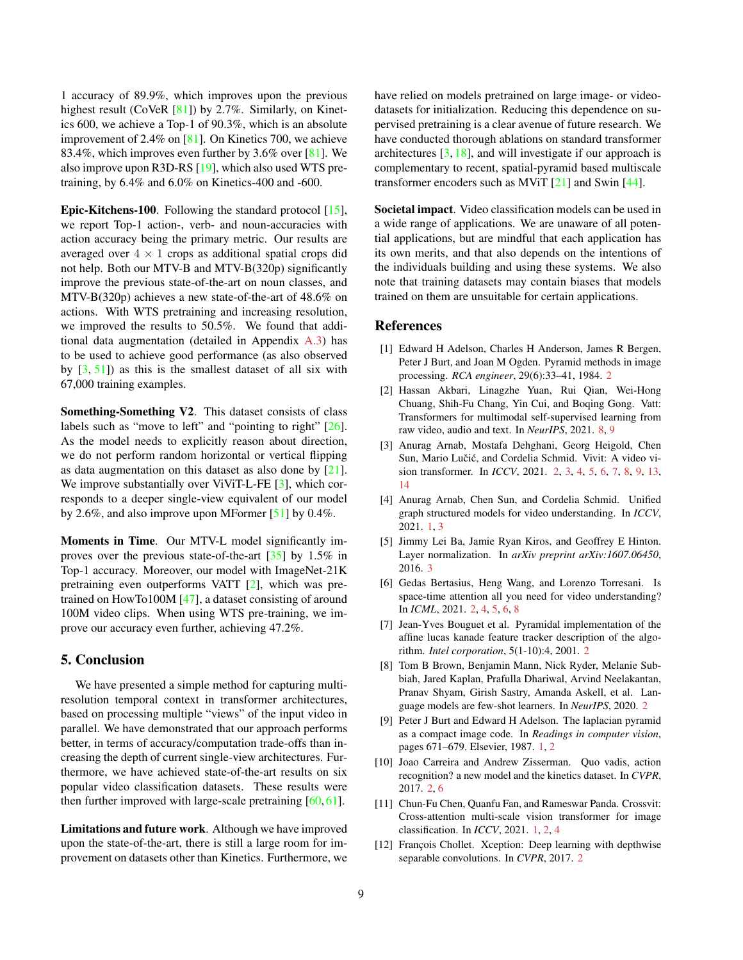<span id="page-8-12"></span>1 accuracy of 89.9%, which improves upon the previous highest result (CoVeR [\[81\]](#page-11-5)) by 2.7%. Similarly, on Kinetics 600, we achieve a Top-1 of 90.3%, which is an absolute improvement of 2.4% on [\[81\]](#page-11-5). On Kinetics 700, we achieve 83.4%, which improves even further by 3.6% over [\[81\]](#page-11-5). We also improve upon R3D-RS [\[19\]](#page-9-32), which also used WTS pretraining, by 6.4% and 6.0% on Kinetics-400 and -600.

Epic-Kitchens-100. Following the standard protocol [\[15\]](#page-9-26), we report Top-1 action-, verb- and noun-accuracies with action accuracy being the primary metric. Our results are averaged over  $4 \times 1$  crops as additional spatial crops did not help. Both our MTV-B and MTV-B(320p) significantly improve the previous state-of-the-art on noun classes, and MTV-B(320p) achieves a new state-of-the-art of 48.6% on actions. With WTS pretraining and increasing resolution, we improved the results to 50.5%. We found that additional data augmentation (detailed in Appendix [A.3\)](#page-12-1) has to be used to achieve good performance (as also observed by  $[3, 51]$  $[3, 51]$  $[3, 51]$  as this is the smallest dataset of all six with 67,000 training examples.

Something-Something V2. This dataset consists of class labels such as "move to left" and "pointing to right" [\[26\]](#page-9-27). As the model needs to explicitly reason about direction, we do not perform random horizontal or vertical flipping as data augmentation on this dataset as also done by [\[21\]](#page-9-21). We improve substantially over ViViT-L-FE [\[3\]](#page-8-3), which corresponds to a deeper single-view equivalent of our model by 2.6%, and also improve upon MFormer [\[51\]](#page-10-23) by 0.4%.

Moments in Time. Our MTV-L model significantly improves over the previous state-of-the-art [\[35\]](#page-9-31) by 1.5% in Top-1 accuracy. Moreover, our model with ImageNet-21K pretraining even outperforms VATT [\[2\]](#page-8-11), which was pretrained on HowTo100M [\[47\]](#page-10-31), a dataset consisting of around 100M video clips. When using WTS pre-training, we improve our accuracy even further, achieving 47.2%.

## 5. Conclusion

We have presented a simple method for capturing multiresolution temporal context in transformer architectures, based on processing multiple "views" of the input video in parallel. We have demonstrated that our approach performs better, in terms of accuracy/computation trade-offs than increasing the depth of current single-view architectures. Furthermore, we have achieved state-of-the-art results on six popular video classification datasets. These results were then further improved with large-scale pretraining  $[60, 61]$  $[60, 61]$  $[60, 61]$ .

Limitations and future work. Although we have improved upon the state-of-the-art, there is still a large room for improvement on datasets other than Kinetics. Furthermore, we have relied on models pretrained on large image- or videodatasets for initialization. Reducing this dependence on supervised pretraining is a clear avenue of future research. We have conducted thorough ablations on standard transformer architectures  $[3, 18]$  $[3, 18]$  $[3, 18]$ , and will investigate if our approach is complementary to recent, spatial-pyramid based multiscale transformer encoders such as MViT [\[21\]](#page-9-21) and Swin [\[44\]](#page-9-4).

Societal impact. Video classification models can be used in a wide range of applications. We are unaware of all potential applications, but are mindful that each application has its own merits, and that also depends on the intentions of the individuals building and using these systems. We also note that training datasets may contain biases that models trained on them are unsuitable for certain applications.

# References

- <span id="page-8-8"></span>[1] Edward H Adelson, Charles H Anderson, James R Bergen, Peter J Burt, and Joan M Ogden. Pyramid methods in image processing. *RCA engineer*, 29(6):33–41, 1984. [2](#page-1-0)
- <span id="page-8-11"></span>[2] Hassan Akbari, Linagzhe Yuan, Rui Qian, Wei-Hong Chuang, Shih-Fu Chang, Yin Cui, and Boqing Gong. Vatt: Transformers for multimodal self-supervised learning from raw video, audio and text. In *NeurIPS*, 2021. [8,](#page-7-1) [9](#page-8-12)
- <span id="page-8-3"></span>[3] Anurag Arnab, Mostafa Dehghani, Georg Heigold, Chen Sun, Mario Lučić, and Cordelia Schmid. Vivit: A video vision transformer. In *ICCV*, 2021. [2,](#page-1-0) [3,](#page-2-6) [4,](#page-3-2) [5,](#page-4-1) [6,](#page-5-1) [7,](#page-6-1) [8,](#page-7-1) [9,](#page-8-12) [13,](#page-12-3) [14](#page-13-0)
- <span id="page-8-2"></span>[4] Anurag Arnab, Chen Sun, and Cordelia Schmid. Unified graph structured models for video understanding. In *ICCV*, 2021. [1,](#page-0-1) [3](#page-2-6)
- <span id="page-8-10"></span>[5] Jimmy Lei Ba, Jamie Ryan Kiros, and Geoffrey E Hinton. Layer normalization. In *arXiv preprint arXiv:1607.06450*, 2016. [3](#page-2-6)
- <span id="page-8-7"></span>[6] Gedas Bertasius, Heng Wang, and Lorenzo Torresani. Is space-time attention all you need for video understanding? In *ICML*, 2021. [2,](#page-1-0) [4,](#page-3-2) [5,](#page-4-1) [6,](#page-5-1) [8](#page-7-1)
- <span id="page-8-9"></span>[7] Jean-Yves Bouguet et al. Pyramidal implementation of the affine lucas kanade feature tracker description of the algorithm. *Intel corporation*, 5(1-10):4, 2001. [2](#page-1-0)
- <span id="page-8-6"></span>[8] Tom B Brown, Benjamin Mann, Nick Ryder, Melanie Subbiah, Jared Kaplan, Prafulla Dhariwal, Arvind Neelakantan, Pranav Shyam, Girish Sastry, Amanda Askell, et al. Language models are few-shot learners. In *NeurIPS*, 2020. [2](#page-1-0)
- <span id="page-8-0"></span>[9] Peter J Burt and Edward H Adelson. The laplacian pyramid as a compact image code. In *Readings in computer vision*, pages 671–679. Elsevier, 1987. [1,](#page-0-1) [2](#page-1-0)
- <span id="page-8-5"></span>[10] Joao Carreira and Andrew Zisserman. Quo vadis, action recognition? a new model and the kinetics dataset. In *CVPR*, 2017. [2,](#page-1-0) [6](#page-5-1)
- <span id="page-8-1"></span>[11] Chun-Fu Chen, Quanfu Fan, and Rameswar Panda. Crossvit: Cross-attention multi-scale vision transformer for image classification. In *ICCV*, 2021. [1,](#page-0-1) [2,](#page-1-0) [4](#page-3-2)
- <span id="page-8-4"></span>[12] François Chollet. Xception: Deep learning with depthwise separable convolutions. In *CVPR*, 2017. [2](#page-1-0)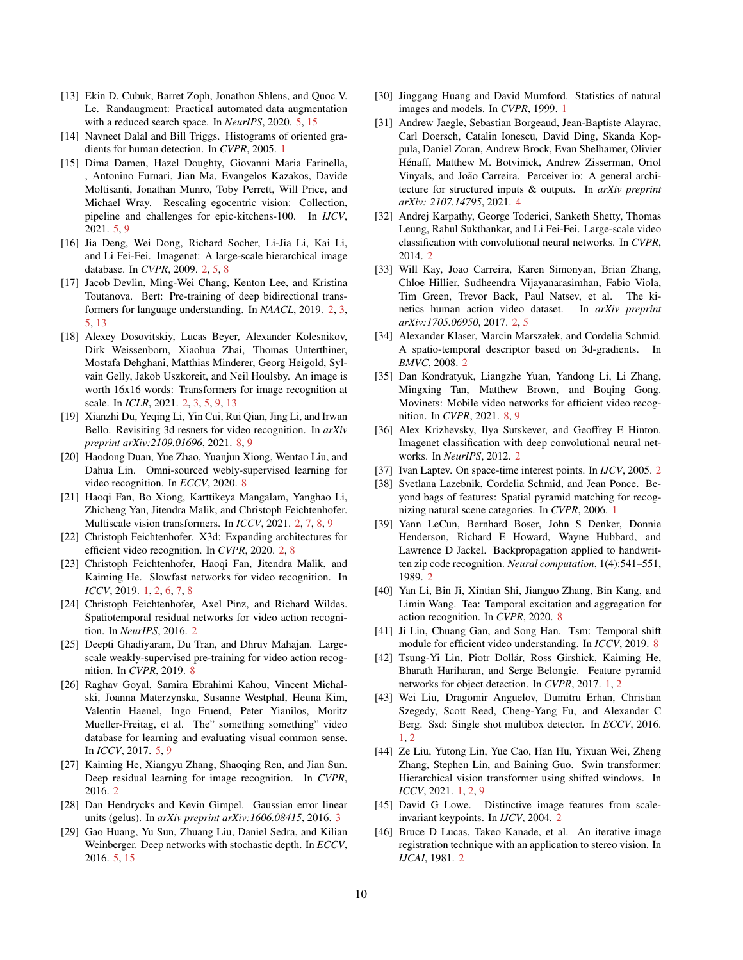- <span id="page-9-24"></span>[13] Ekin D. Cubuk, Barret Zoph, Jonathon Shlens, and Quoc V. Le. Randaugment: Practical automated data augmentation with a reduced search space. In *NeurIPS*, 2020. [5,](#page-4-1) [15](#page-14-0)
- <span id="page-9-0"></span>[14] Navneet Dalal and Bill Triggs. Histograms of oriented gradients for human detection. In *CVPR*, 2005. [1](#page-0-1)
- <span id="page-9-26"></span>[15] Dima Damen, Hazel Doughty, Giovanni Maria Farinella, , Antonino Furnari, Jian Ma, Evangelos Kazakos, Davide Moltisanti, Jonathan Munro, Toby Perrett, Will Price, and Michael Wray. Rescaling egocentric vision: Collection, pipeline and challenges for epic-kitchens-100. In *IJCV*, 2021. [5,](#page-4-1) [9](#page-8-12)
- <span id="page-9-9"></span>[16] Jia Deng, Wei Dong, Richard Socher, Li-Jia Li, Kai Li, and Li Fei-Fei. Imagenet: A large-scale hierarchical image database. In *CVPR*, 2009. [2,](#page-1-0) [5,](#page-4-1) [8](#page-7-1)
- <span id="page-9-17"></span>[17] Jacob Devlin, Ming-Wei Chang, Kenton Lee, and Kristina Toutanova. Bert: Pre-training of deep bidirectional transformers for language understanding. In *NAACL*, 2019. [2,](#page-1-0) [3,](#page-2-6) [5,](#page-4-1) [13](#page-12-3)
- <span id="page-9-18"></span>[18] Alexey Dosovitskiy, Lucas Beyer, Alexander Kolesnikov, Dirk Weissenborn, Xiaohua Zhai, Thomas Unterthiner, Mostafa Dehghani, Matthias Minderer, Georg Heigold, Sylvain Gelly, Jakob Uszkoreit, and Neil Houlsby. An image is worth 16x16 words: Transformers for image recognition at scale. In *ICLR*, 2021. [2,](#page-1-0) [3,](#page-2-6) [5,](#page-4-1) [9,](#page-8-12) [13](#page-12-3)
- <span id="page-9-32"></span>[19] Xianzhi Du, Yeqing Li, Yin Cui, Rui Qian, Jing Li, and Irwan Bello. Revisiting 3d resnets for video recognition. In *arXiv preprint arXiv:2109.01696*, 2021. [8,](#page-7-1) [9](#page-8-12)
- <span id="page-9-30"></span>[20] Haodong Duan, Yue Zhao, Yuanjun Xiong, Wentao Liu, and Dahua Lin. Omni-sourced webly-supervised learning for video recognition. In *ECCV*, 2020. [8](#page-7-1)
- <span id="page-9-21"></span>[21] Haoqi Fan, Bo Xiong, Karttikeya Mangalam, Yanghao Li, Zhicheng Yan, Jitendra Malik, and Christoph Feichtenhofer. Multiscale vision transformers. In *ICCV*, 2021. [2,](#page-1-0) [7,](#page-6-1) [8,](#page-7-1) [9](#page-8-12)
- <span id="page-9-16"></span>[22] Christoph Feichtenhofer. X3d: Expanding architectures for efficient video recognition. In *CVPR*, 2020. [2,](#page-1-0) [8](#page-7-1)
- <span id="page-9-6"></span>[23] Christoph Feichtenhofer, Haoqi Fan, Jitendra Malik, and Kaiming He. Slowfast networks for video recognition. In *ICCV*, 2019. [1,](#page-0-1) [2,](#page-1-0) [6,](#page-5-1) [7,](#page-6-1) [8](#page-7-1)
- <span id="page-9-15"></span>[24] Christoph Feichtenhofer, Axel Pinz, and Richard Wildes. Spatiotemporal residual networks for video action recognition. In *NeurIPS*, 2016. [2](#page-1-0)
- <span id="page-9-33"></span>[25] Deepti Ghadiyaram, Du Tran, and Dhruv Mahajan. Largescale weakly-supervised pre-training for video action recognition. In *CVPR*, 2019. [8](#page-7-1)
- <span id="page-9-27"></span>[26] Raghav Goyal, Samira Ebrahimi Kahou, Vincent Michalski, Joanna Materzynska, Susanne Westphal, Heuna Kim, Valentin Haenel, Ingo Fruend, Peter Yianilos, Moritz Mueller-Freitag, et al. The" something something" video database for learning and evaluating visual common sense. In *ICCV*, 2017. [5,](#page-4-1) [9](#page-8-12)
- <span id="page-9-12"></span>[27] Kaiming He, Xiangyu Zhang, Shaoqing Ren, and Jian Sun. Deep residual learning for image recognition. In *CVPR*, 2016. [2](#page-1-0)
- <span id="page-9-22"></span>[28] Dan Hendrycks and Kevin Gimpel. Gaussian error linear units (gelus). In *arXiv preprint arXiv:1606.08415*, 2016. [3](#page-2-6)
- <span id="page-9-25"></span>[29] Gao Huang, Yu Sun, Zhuang Liu, Daniel Sedra, and Kilian Weinberger. Deep networks with stochastic depth. In *ECCV*, 2016. [5,](#page-4-1) [15](#page-14-0)
- <span id="page-9-5"></span>[30] Jinggang Huang and David Mumford. Statistics of natural images and models. In *CVPR*, 1999. [1](#page-0-1)
- <span id="page-9-23"></span>[31] Andrew Jaegle, Sebastian Borgeaud, Jean-Baptiste Alayrac, Carl Doersch, Catalin Ionescu, David Ding, Skanda Koppula, Daniel Zoran, Andrew Brock, Evan Shelhamer, Olivier Hénaff, Matthew M. Botvinick, Andrew Zisserman, Oriol Vinyals, and João Carreira. Perceiver io: A general architecture for structured inputs & outputs. In *arXiv preprint arXiv: 2107.14795*, 2021. [4](#page-3-2)
- <span id="page-9-13"></span>[32] Andrej Karpathy, George Toderici, Sanketh Shetty, Thomas Leung, Rahul Sukthankar, and Li Fei-Fei. Large-scale video classification with convolutional neural networks. In *CVPR*, 2014. [2](#page-1-0)
- <span id="page-9-14"></span>[33] Will Kay, Joao Carreira, Karen Simonyan, Brian Zhang, Chloe Hillier, Sudheendra Vijayanarasimhan, Fabio Viola, Tim Green, Trevor Back, Paul Natsev, et al. The kinetics human action video dataset. In *arXiv preprint arXiv:1705.06950*, 2017. [2,](#page-1-0) [5](#page-4-1)
- <span id="page-9-7"></span>[34] Alexander Klaser, Marcin Marszałek, and Cordelia Schmid. A spatio-temporal descriptor based on 3d-gradients. In *BMVC*, 2008. [2](#page-1-0)
- <span id="page-9-31"></span>[35] Dan Kondratyuk, Liangzhe Yuan, Yandong Li, Li Zhang, Mingxing Tan, Matthew Brown, and Boqing Gong. Movinets: Mobile video networks for efficient video recognition. In *CVPR*, 2021. [8,](#page-7-1) [9](#page-8-12)
- <span id="page-9-11"></span>[36] Alex Krizhevsky, Ilya Sutskever, and Geoffrey E Hinton. Imagenet classification with deep convolutional neural networks. In *NeurIPS*, 2012. [2](#page-1-0)
- <span id="page-9-8"></span>[37] Ivan Laptev. On space-time interest points. In *IJCV*, 2005. [2](#page-1-0)
- <span id="page-9-1"></span>[38] Svetlana Lazebnik, Cordelia Schmid, and Jean Ponce. Beyond bags of features: Spatial pyramid matching for recognizing natural scene categories. In *CVPR*, 2006. [1](#page-0-1)
- <span id="page-9-10"></span>[39] Yann LeCun, Bernhard Boser, John S Denker, Donnie Henderson, Richard E Howard, Wayne Hubbard, and Lawrence D Jackel. Backpropagation applied to handwritten zip code recognition. *Neural computation*, 1(4):541–551, 1989. [2](#page-1-0)
- <span id="page-9-28"></span>[40] Yan Li, Bin Ji, Xintian Shi, Jianguo Zhang, Bin Kang, and Limin Wang. Tea: Temporal excitation and aggregation for action recognition. In *CVPR*, 2020. [8](#page-7-1)
- <span id="page-9-29"></span>[41] Ji Lin, Chuang Gan, and Song Han. Tsm: Temporal shift module for efficient video understanding. In *ICCV*, 2019. [8](#page-7-1)
- <span id="page-9-2"></span>[42] Tsung-Yi Lin, Piotr Dollár, Ross Girshick, Kaiming He, Bharath Hariharan, and Serge Belongie. Feature pyramid networks for object detection. In *CVPR*, 2017. [1,](#page-0-1) [2](#page-1-0)
- <span id="page-9-3"></span>[43] Wei Liu, Dragomir Anguelov, Dumitru Erhan, Christian Szegedy, Scott Reed, Cheng-Yang Fu, and Alexander C Berg. Ssd: Single shot multibox detector. In *ECCV*, 2016. [1,](#page-0-1) [2](#page-1-0)
- <span id="page-9-4"></span>[44] Ze Liu, Yutong Lin, Yue Cao, Han Hu, Yixuan Wei, Zheng Zhang, Stephen Lin, and Baining Guo. Swin transformer: Hierarchical vision transformer using shifted windows. In *ICCV*, 2021. [1,](#page-0-1) [2,](#page-1-0) [9](#page-8-12)
- <span id="page-9-19"></span>[45] David G Lowe. Distinctive image features from scaleinvariant keypoints. In *IJCV*, 2004. [2](#page-1-0)
- <span id="page-9-20"></span>[46] Bruce D Lucas, Takeo Kanade, et al. An iterative image registration technique with an application to stereo vision. In *IJCAI*, 1981. [2](#page-1-0)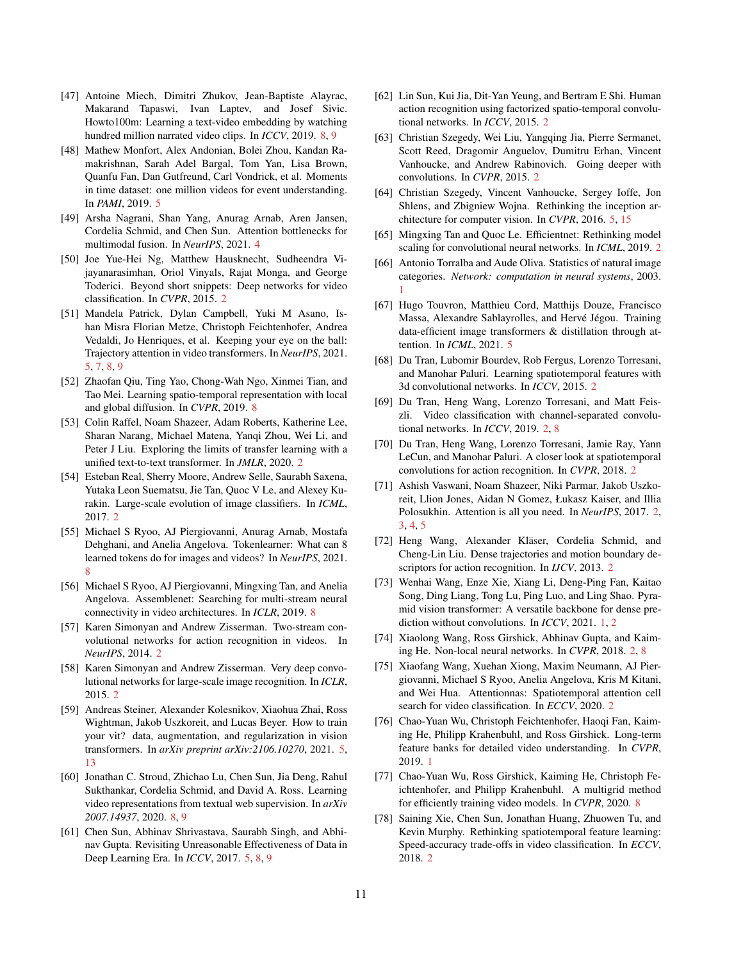- <span id="page-10-31"></span>[47] Antoine Miech, Dimitri Zhukov, Jean-Baptiste Alayrac, Makarand Tapaswi, Ivan Laptev, and Josef Sivic. Howto100m: Learning a text-video embedding by watching hundred million narrated video clips. In *ICCV*, 2019. [8,](#page-7-1) [9](#page-8-12)
- <span id="page-10-25"></span>[48] Mathew Monfort, Alex Andonian, Bolei Zhou, Kandan Ramakrishnan, Sarah Adel Bargal, Tom Yan, Lisa Brown, Quanfu Fan, Dan Gutfreund, Carl Vondrick, et al. Moments in time dataset: one million videos for event understanding. In *PAMI*, 2019. [5](#page-4-1)
- <span id="page-10-19"></span>[49] Arsha Nagrani, Shan Yang, Anurag Arnab, Aren Jansen, Cordelia Schmid, and Chen Sun. Attention bottlenecks for multimodal fusion. In *NeurIPS*, 2021. [4](#page-3-2)
- <span id="page-10-8"></span>[50] Joe Yue-Hei Ng, Matthew Hausknecht, Sudheendra Vijayanarasimhan, Oriol Vinyals, Rajat Monga, and George Toderici. Beyond short snippets: Deep networks for video classification. In *CVPR*, 2015. [2](#page-1-0)
- <span id="page-10-23"></span>[51] Mandela Patrick, Dylan Campbell, Yuki M Asano, Ishan Misra Florian Metze, Christoph Feichtenhofer, Andrea Vedaldi, Jo Henriques, et al. Keeping your eye on the ball: Trajectory attention in video transformers. In *NeurIPS*, 2021. [5,](#page-4-1) [7,](#page-6-1) [8,](#page-7-1) [9](#page-8-12)
- <span id="page-10-26"></span>[52] Zhaofan Qiu, Ting Yao, Chong-Wah Ngo, Xinmei Tian, and Tao Mei. Learning spatio-temporal representation with local and global diffusion. In *CVPR*, 2019. [8](#page-7-1)
- <span id="page-10-18"></span>[53] Colin Raffel, Noam Shazeer, Adam Roberts, Katherine Lee, Sharan Narang, Michael Matena, Yanqi Zhou, Wei Li, and Peter J Liu. Exploring the limits of transfer learning with a unified text-to-text transformer. In *JMLR*, 2020. [2](#page-1-0)
- <span id="page-10-6"></span>[54] Esteban Real, Sherry Moore, Andrew Selle, Saurabh Saxena, Yutaka Leon Suematsu, Jie Tan, Quoc V Le, and Alexey Kurakin. Large-scale evolution of image classifiers. In *ICML*, 2017. [2](#page-1-0)
- <span id="page-10-27"></span>[55] Michael S Ryoo, AJ Piergiovanni, Anurag Arnab, Mostafa Dehghani, and Anelia Angelova. Tokenlearner: What can 8 learned tokens do for images and videos? In *NeurIPS*, 2021. [8](#page-7-1)
- <span id="page-10-29"></span>[56] Michael S Ryoo, AJ Piergiovanni, Mingxing Tan, and Anelia Angelova. Assemblenet: Searching for multi-stream neural connectivity in video architectures. In *ICLR*, 2019. [8](#page-7-1)
- <span id="page-10-9"></span>[57] Karen Simonyan and Andrew Zisserman. Two-stream convolutional networks for action recognition in videos. In *NeurIPS*, 2014. [2](#page-1-0)
- <span id="page-10-4"></span>[58] Karen Simonyan and Andrew Zisserman. Very deep convolutional networks for large-scale image recognition. In *ICLR*, 2015. [2](#page-1-0)
- <span id="page-10-20"></span>[59] Andreas Steiner, Alexander Kolesnikov, Xiaohua Zhai, Ross Wightman, Jakob Uszkoreit, and Lucas Beyer. How to train your vit? data, augmentation, and regularization in vision transformers. In *arXiv preprint arXiv:2106.10270*, 2021. [5,](#page-4-1) [13](#page-12-3)
- <span id="page-10-30"></span>[60] Jonathan C. Stroud, Zhichao Lu, Chen Sun, Jia Deng, Rahul Sukthankar, Cordelia Schmid, and David A. Ross. Learning video representations from textual web supervision. In *arXiv 2007.14937*, 2020. [8,](#page-7-1) [9](#page-8-12)
- <span id="page-10-24"></span>[61] Chen Sun, Abhinav Shrivastava, Saurabh Singh, and Abhinav Gupta. Revisiting Unreasonable Effectiveness of Data in Deep Learning Era. In *ICCV*, 2017. [5,](#page-4-1) [8,](#page-7-1) [9](#page-8-12)
- <span id="page-10-11"></span>[62] Lin Sun, Kui Jia, Dit-Yan Yeung, and Bertram E Shi. Human action recognition using factorized spatio-temporal convolutional networks. In *ICCV*, 2015. [2](#page-1-0)
- <span id="page-10-5"></span>[63] Christian Szegedy, Wei Liu, Yangqing Jia, Pierre Sermanet, Scott Reed, Dragomir Anguelov, Dumitru Erhan, Vincent Vanhoucke, and Andrew Rabinovich. Going deeper with convolutions. In *CVPR*, 2015. [2](#page-1-0)
- <span id="page-10-21"></span>[64] Christian Szegedy, Vincent Vanhoucke, Sergey Ioffe, Jon Shlens, and Zbigniew Wojna. Rethinking the inception architecture for computer vision. In *CVPR*, 2016. [5,](#page-4-1) [15](#page-14-0)
- <span id="page-10-7"></span>[65] Mingxing Tan and Quoc Le. Efficientnet: Rethinking model scaling for convolutional neural networks. In *ICML*, 2019. [2](#page-1-0)
- <span id="page-10-1"></span>[66] Antonio Torralba and Aude Oliva. Statistics of natural image categories. *Network: computation in neural systems*, 2003. [1](#page-0-1)
- <span id="page-10-22"></span>[67] Hugo Touvron, Matthieu Cord, Matthijs Douze, Francisco Massa, Alexandre Sablayrolles, and Hervé Jégou. Training data-efficient image transformers & distillation through attention. In *ICML*, 2021. [5](#page-4-1)
- <span id="page-10-10"></span>[68] Du Tran, Lubomir Bourdev, Rob Fergus, Lorenzo Torresani, and Manohar Paluri. Learning spatiotemporal features with 3d convolutional networks. In *ICCV*, 2015. [2](#page-1-0)
- <span id="page-10-12"></span>[69] Du Tran, Heng Wang, Lorenzo Torresani, and Matt Feiszli. Video classification with channel-separated convolutional networks. In *ICCV*, 2019. [2,](#page-1-0) [8](#page-7-1)
- <span id="page-10-13"></span>[70] Du Tran, Heng Wang, Lorenzo Torresani, Jamie Ray, Yann LeCun, and Manohar Paluri. A closer look at spatiotemporal convolutions for action recognition. In *CVPR*, 2018. [2](#page-1-0)
- <span id="page-10-15"></span>[71] Ashish Vaswani, Noam Shazeer, Niki Parmar, Jakob Uszkoreit, Llion Jones, Aidan N Gomez, Łukasz Kaiser, and Illia Polosukhin. Attention is all you need. In *NeurIPS*, 2017. [2,](#page-1-0) [3,](#page-2-6) [4,](#page-3-2) [5](#page-4-1)
- <span id="page-10-3"></span>[72] Heng Wang, Alexander Kläser, Cordelia Schmid, and Cheng-Lin Liu. Dense trajectories and motion boundary descriptors for action recognition. In *IJCV*, 2013. [2](#page-1-0)
- <span id="page-10-0"></span>[73] Wenhai Wang, Enze Xie, Xiang Li, Deng-Ping Fan, Kaitao Song, Ding Liang, Tong Lu, Ping Luo, and Ling Shao. Pyramid vision transformer: A versatile backbone for dense prediction without convolutions. In *ICCV*, 2021. [1,](#page-0-1) [2](#page-1-0)
- <span id="page-10-16"></span>[74] Xiaolong Wang, Ross Girshick, Abhinav Gupta, and Kaiming He. Non-local neural networks. In *CVPR*, 2018. [2,](#page-1-0) [8](#page-7-1)
- <span id="page-10-17"></span>[75] Xiaofang Wang, Xuehan Xiong, Maxim Neumann, AJ Piergiovanni, Michael S Ryoo, Anelia Angelova, Kris M Kitani, and Wei Hua. Attentionnas: Spatiotemporal attention cell search for video classification. In *ECCV*, 2020. [2](#page-1-0)
- <span id="page-10-2"></span>[76] Chao-Yuan Wu, Christoph Feichtenhofer, Haoqi Fan, Kaiming He, Philipp Krahenbuhl, and Ross Girshick. Long-term feature banks for detailed video understanding. In *CVPR*, 2019. [1](#page-0-1)
- <span id="page-10-28"></span>[77] Chao-Yuan Wu, Ross Girshick, Kaiming He, Christoph Feichtenhofer, and Philipp Krahenbuhl. A multigrid method for efficiently training video models. In *CVPR*, 2020. [8](#page-7-1)
- <span id="page-10-14"></span>[78] Saining Xie, Chen Sun, Jonathan Huang, Zhuowen Tu, and Kevin Murphy. Rethinking spatiotemporal feature learning: Speed-accuracy trade-offs in video classification. In *ECCV*, 2018. [2](#page-1-0)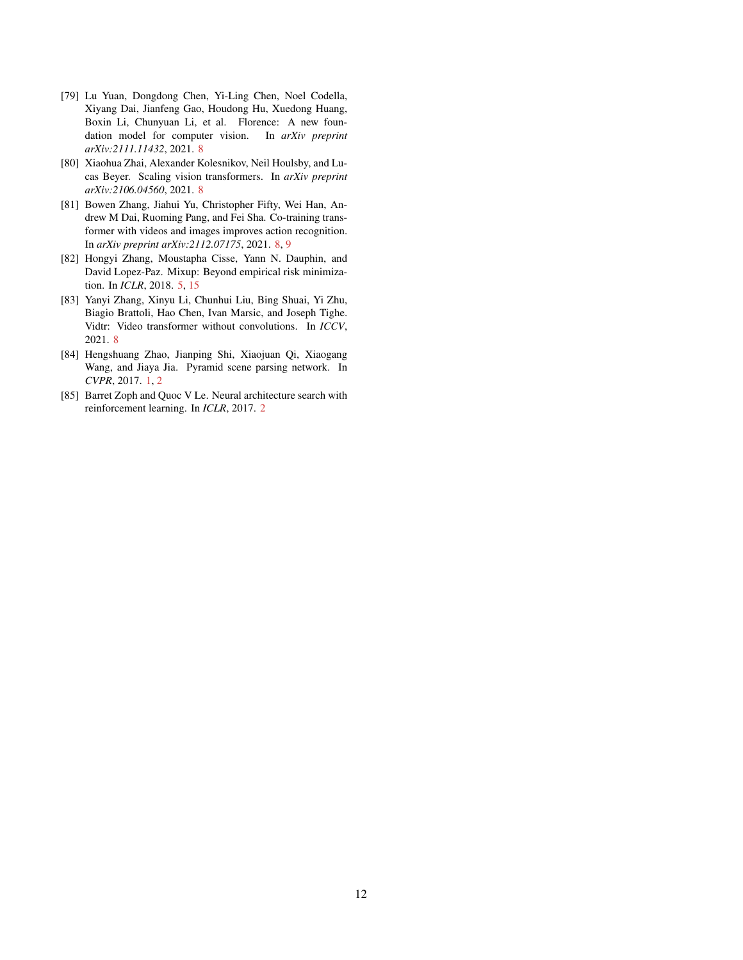- <span id="page-11-4"></span>[79] Lu Yuan, Dongdong Chen, Yi-Ling Chen, Noel Codella, Xiyang Dai, Jianfeng Gao, Houdong Hu, Xuedong Huang, Boxin Li, Chunyuan Li, et al. Florence: A new foundation model for computer vision. In *arXiv preprint arXiv:2111.11432*, 2021. [8](#page-7-1)
- <span id="page-11-6"></span>[80] Xiaohua Zhai, Alexander Kolesnikov, Neil Houlsby, and Lucas Beyer. Scaling vision transformers. In *arXiv preprint arXiv:2106.04560*, 2021. [8](#page-7-1)
- <span id="page-11-5"></span>[81] Bowen Zhang, Jiahui Yu, Christopher Fifty, Wei Han, Andrew M Dai, Ruoming Pang, and Fei Sha. Co-training transformer with videos and images improves action recognition. In *arXiv preprint arXiv:2112.07175*, 2021. [8,](#page-7-1) [9](#page-8-12)
- <span id="page-11-2"></span>[82] Hongyi Zhang, Moustapha Cisse, Yann N. Dauphin, and David Lopez-Paz. Mixup: Beyond empirical risk minimization. In *ICLR*, 2018. [5,](#page-4-1) [15](#page-14-0)
- <span id="page-11-3"></span>[83] Yanyi Zhang, Xinyu Li, Chunhui Liu, Bing Shuai, Yi Zhu, Biagio Brattoli, Hao Chen, Ivan Marsic, and Joseph Tighe. Vidtr: Video transformer without convolutions. In *ICCV*, 2021. [8](#page-7-1)
- <span id="page-11-0"></span>[84] Hengshuang Zhao, Jianping Shi, Xiaojuan Qi, Xiaogang Wang, and Jiaya Jia. Pyramid scene parsing network. In *CVPR*, 2017. [1,](#page-0-1) [2](#page-1-0)
- <span id="page-11-1"></span>[85] Barret Zoph and Quoc V Le. Neural architecture search with reinforcement learning. In *ICLR*, 2017. [2](#page-1-0)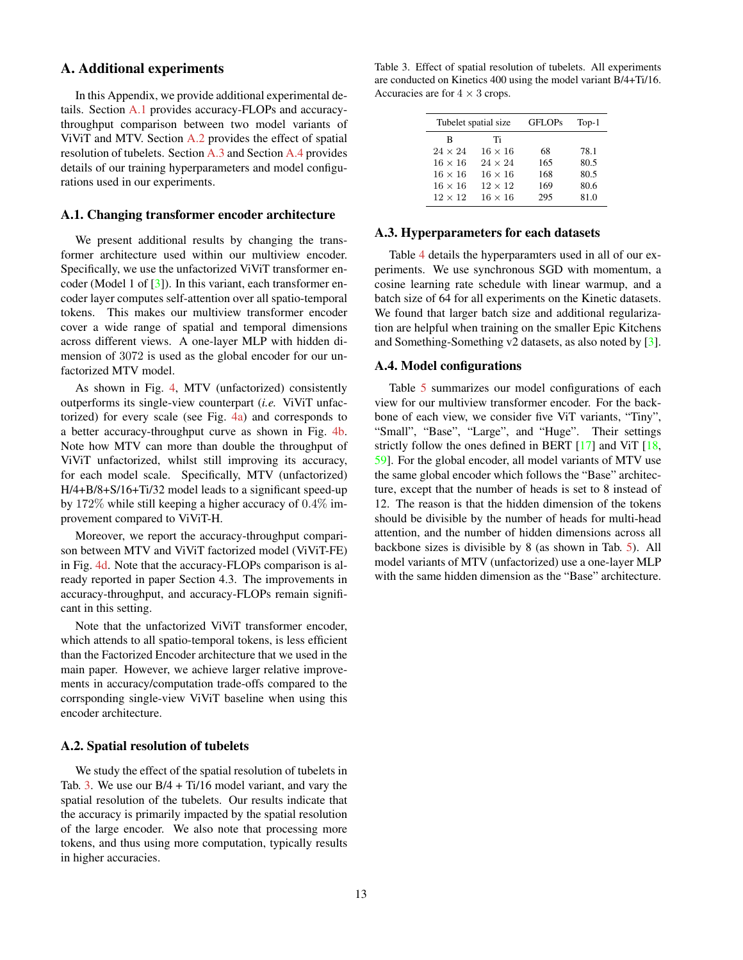# A. Additional experiments

<span id="page-12-3"></span>In this Appendix, we provide additional experimental details. Section [A.1](#page-12-2) provides accuracy-FLOPs and accuracythroughput comparison between two model variants of ViViT and MTV. Section [A.2](#page-12-4) provides the effect of spatial resolution of tubelets. Section [A.3](#page-12-1) and Section [A.4](#page-12-0) provides details of our training hyperparameters and model configurations used in our experiments.

### <span id="page-12-2"></span>A.1. Changing transformer encoder architecture

We present additional results by changing the transformer architecture used within our multiview encoder. Specifically, we use the unfactorized ViViT transformer encoder (Model 1 of  $\lceil 3 \rceil$ ). In this variant, each transformer encoder layer computes self-attention over all spatio-temporal tokens. This makes our multiview transformer encoder cover a wide range of spatial and temporal dimensions across different views. A one-layer MLP with hidden dimension of 3072 is used as the global encoder for our unfactorized MTV model.

As shown in Fig. [4,](#page-13-1) MTV (unfactorized) consistently outperforms its single-view counterpart (*i.e.* ViViT unfactorized) for every scale (see Fig. [4a\)](#page-13-1) and corresponds to a better accuracy-throughput curve as shown in Fig. [4b.](#page-13-1) Note how MTV can more than double the throughput of ViViT unfactorized, whilst still improving its accuracy, for each model scale. Specifically, MTV (unfactorized) H/4+B/8+S/16+Ti/32 model leads to a significant speed-up by 172% while still keeping a higher accuracy of 0.4% improvement compared to ViViT-H.

Moreover, we report the accuracy-throughput comparison between MTV and ViViT factorized model (ViViT-FE) in Fig. [4d.](#page-13-1) Note that the accuracy-FLOPs comparison is already reported in paper Section 4.3. The improvements in accuracy-throughput, and accuracy-FLOPs remain significant in this setting.

Note that the unfactorized ViViT transformer encoder, which attends to all spatio-temporal tokens, is less efficient than the Factorized Encoder architecture that we used in the main paper. However, we achieve larger relative improvements in accuracy/computation trade-offs compared to the corrsponding single-view ViViT baseline when using this encoder architecture.

### <span id="page-12-4"></span>A.2. Spatial resolution of tubelets

We study the effect of the spatial resolution of tubelets in Tab. [3.](#page-12-5) We use our  $B/4 + Ti/16$  model variant, and vary the spatial resolution of the tubelets. Our results indicate that the accuracy is primarily impacted by the spatial resolution of the large encoder. We also note that processing more tokens, and thus using more computation, typically results in higher accuracies.

<span id="page-12-5"></span>Table 3. Effect of spatial resolution of tubelets. All experiments are conducted on Kinetics 400 using the model variant B/4+Ti/16. Accuracies are for  $4 \times 3$  crops.

| Tubelet spatial size |                | <b>GFLOPs</b> | $Top-1$ |  |  |
|----------------------|----------------|---------------|---------|--|--|
| B                    | Ti             |               |         |  |  |
| $24 \times 24$       | $16 \times 16$ | 68            | 78.1    |  |  |
| $16 \times 16$       | $24 \times 24$ | 165           | 80.5    |  |  |
| $16 \times 16$       | $16 \times 16$ | 168           | 80.5    |  |  |
| $16 \times 16$       | $12 \times 12$ | 169           | 80.6    |  |  |
| $12 \times 12$       | $16 \times 16$ | 295           | 81.0    |  |  |

#### <span id="page-12-1"></span>A.3. Hyperparameters for each datasets

Table [4](#page-14-1) details the hyperparamters used in all of our experiments. We use synchronous SGD with momentum, a cosine learning rate schedule with linear warmup, and a batch size of 64 for all experiments on the Kinetic datasets. We found that larger batch size and additional regularization are helpful when training on the smaller Epic Kitchens and Something-Something v2 datasets, as also noted by [\[3\]](#page-8-3).

### <span id="page-12-0"></span>A.4. Model configurations

Table [5](#page-14-2) summarizes our model configurations of each view for our multiview transformer encoder. For the backbone of each view, we consider five ViT variants, "Tiny", "Small", "Base", "Large", and "Huge". Their settings strictly follow the ones defined in BERT [\[17\]](#page-9-17) and ViT [\[18,](#page-9-18) [59\]](#page-10-20). For the global encoder, all model variants of MTV use the same global encoder which follows the "Base" architecture, except that the number of heads is set to 8 instead of 12. The reason is that the hidden dimension of the tokens should be divisible by the number of heads for multi-head attention, and the number of hidden dimensions across all backbone sizes is divisible by 8 (as shown in Tab. [5\)](#page-14-2). All model variants of MTV (unfactorized) use a one-layer MLP with the same hidden dimension as the "Base" architecture.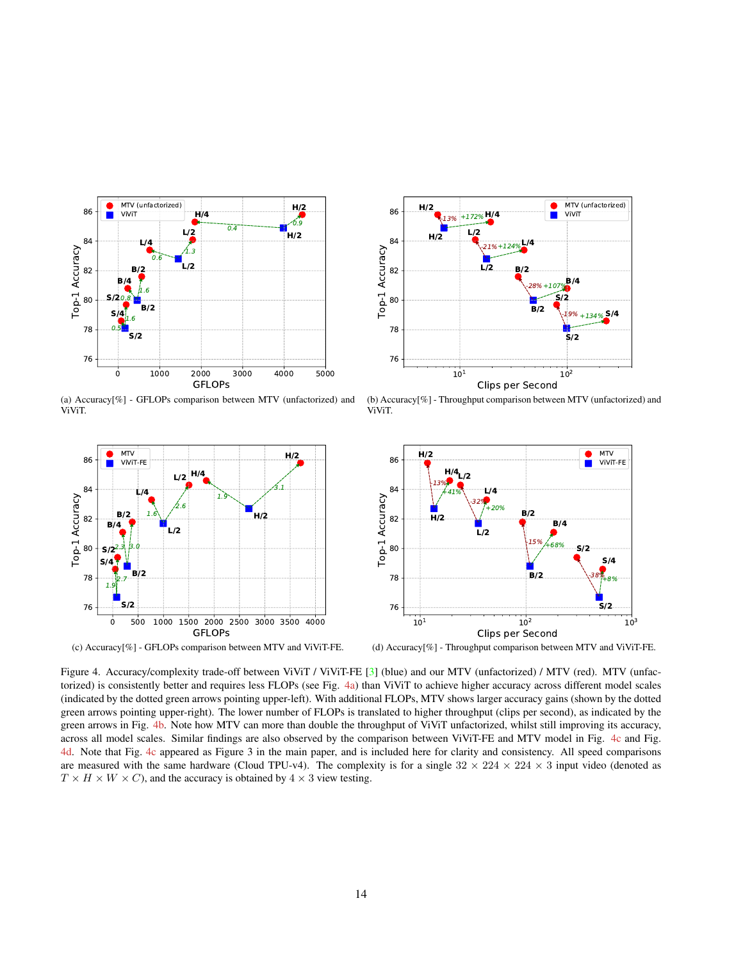<span id="page-13-1"></span><span id="page-13-0"></span>

(a) Accuracy[%] - GFLOPs comparison between MTV (unfactorized) and ViViT.



(c) Accuracy[%] - GFLOPs comparison between MTV and ViViT-FE.



(b) Accuracy[%] - Throughput comparison between MTV (unfactorized) and ViViT.



(d) Accuracy[%] - Throughput comparison between MTV and ViViT-FE.

Figure 4. Accuracy/complexity trade-off between ViViT / ViViT-FE [\[3\]](#page-8-3) (blue) and our MTV (unfactorized) / MTV (red). MTV (unfactorized) is consistently better and requires less FLOPs (see Fig. [4a\)](#page-13-1) than ViViT to achieve higher accuracy across different model scales (indicated by the dotted green arrows pointing upper-left). With additional FLOPs, MTV shows larger accuracy gains (shown by the dotted green arrows pointing upper-right). The lower number of FLOPs is translated to higher throughput (clips per second), as indicated by the green arrows in Fig. [4b.](#page-13-1) Note how MTV can more than double the throughput of ViViT unfactorized, whilst still improving its accuracy, across all model scales. Similar findings are also observed by the comparison between ViViT-FE and MTV model in Fig. [4c](#page-13-1) and Fig. [4d.](#page-13-1) Note that Fig. [4c](#page-13-1) appeared as Figure 3 in the main paper, and is included here for clarity and consistency. All speed comparisons are measured with the same hardware (Cloud TPU-v4). The complexity is for a single  $32 \times 224 \times 224 \times 3$  input video (denoted as  $T \times H \times W \times C$ , and the accuracy is obtained by  $4 \times 3$  view testing.